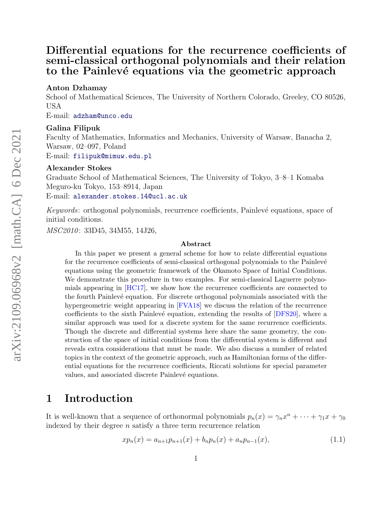# <span id="page-0-0"></span>Differential equations for the recurrence coefficients of semi-classical orthogonal polynomials and their relation to the Painlevé equations via the geometric approach

#### Anton Dzhamay

School of Mathematical Sciences, The University of Northern Colorado, Greeley, CO 80526, USA

E-mail: [adzham@unco.edu](mailto:adzham@unco.edu)

#### Galina Filipuk

Faculty of Mathematics, Informatics and Mechanics, University of Warsaw, Banacha 2, Warsaw, 02–097, Poland

E-mail: [filipuk@mimuw.edu.pl](mailto:filipuk@mimuw.edu.pl)

#### Alexander Stokes

Graduate School of Mathematical Sciences, The University of Tokyo, 3–8–1 Komaba Meguro-ku Tokyo, 153–8914, Japan E-mail: [alexander.stokes.14@ucl.ac.uk](mailto:alexander.stokes.14@ucl.ac.uk)

Keywords: orthogonal polynomials, recurrence coefficients, Painlevé equations, space of initial conditions.

*MSC2010*: 33D45, 34M55, 14J26,

#### Abstract

In this paper we present a general scheme for how to relate differential equations for the recurrence coefficients of semi-classical orthogonal polynomials to the Painlevé equations using the geometric framework of the Okamoto Space of Initial Conditions. We demonstrate this procedure in two examples. For semi-classical Laguerre polynomials appearing in [\[HC17\]](#page-46-0), we show how the recurrence coefficients are connected to the fourth Painlev´e equation. For discrete orthogonal polynomials associated with the hypergeometric weight appearing in [\[FVA18\]](#page-46-1) we discuss the relation of the recurrence coefficients to the sixth Painlevé equation, extending the results of [\[DFS20\]](#page-46-2), where a similar approach was used for a discrete system for the same recurrence coefficients. Though the discrete and differential systems here share the same geometry, the construction of the space of initial conditions from the differential system is different and reveals extra considerations that must be made. We also discuss a number of related topics in the context of the geometric approach, such as Hamiltonian forms of the differential equations for the recurrence coefficients, Riccati solutions for special parameter values, and associated discrete Painlevé equations.

# 1 Introduction

It is well-known that a sequence of orthonormal polynomials  $p_n(x) = \gamma_n x^n + \cdots + \gamma_1 x + \gamma_0$ indexed by their degree  $n$  satisfy a three term recurrence relation

$$
xp_n(x) = a_{n+1}p_{n+1}(x) + b_n p_n(x) + a_n p_{n-1}(x),
$$
\n(1.1)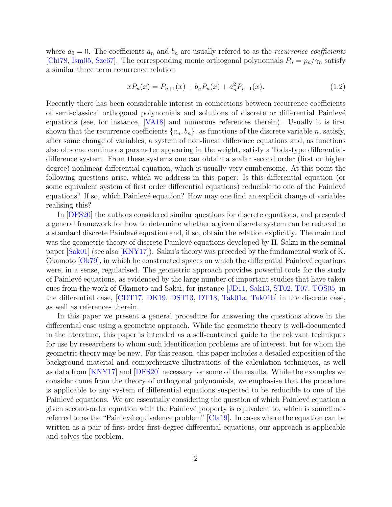where  $a_0 = 0$ . The coefficients  $a_n$  and  $b_n$  are usually refered to as the *recurrence coefficients* [\[Chi78,](#page-45-0) [Ism05,](#page-46-3) [Sze67\]](#page-48-0). The corresponding monic orthogonal polynomials  $P_n = p_n / \gamma_n$  satisfy a similar three term recurrence relation

$$
xP_n(x) = P_{n+1}(x) + b_n P_n(x) + a_n^2 P_{n-1}(x).
$$
\n(1.2)

Recently there has been considerable interest in connections between recurrence coefficients of semi-classical orthogonal polynomials and solutions of discrete or differential Painlev´e equations (see, for instance, [\[VA18\]](#page-48-1) and numerous references therein). Usually it is first shown that the recurrence coefficients  $\{a_n, b_n\}$ , as functions of the discrete variable n, satisfy, after some change of variables, a system of non-linear difference equations and, as functions also of some continuous parameter appearing in the weight, satisfy a Toda-type differentialdifference system. From these systems one can obtain a scalar second order (first or higher degree) nonlinear differential equation, which is usually very cumbersome. At this point the following questions arise, which we address in this paper: Is this differential equation (or some equivalent system of first order differential equations) reducible to one of the Painlevé equations? If so, which Painlevé equation? How may one find an explicit change of variables realising this?

In [\[DFS20\]](#page-46-2) the authors considered similar questions for discrete equations, and presented a general framework for how to determine whether a given discrete system can be reduced to a standard discrete Painlevé equation and, if so, obtain the relation explicitly. The main tool was the geometric theory of discrete Painlevé equations developed by H. Sakai in the seminal paper [\[Sak01\]](#page-48-2) (see also [\[KNY17\]](#page-47-0)). Sakai's theory was preceded by the fundamental work of K. Okamoto  $[Ok79]$ , in which he constructed spaces on which the differential Painlevé equations were, in a sense, regularised. The geometric approach provides powerful tools for the study of Painlevé equations, as evidenced by the large number of important studies that have taken cues from the work of Okamoto and Sakai, for instance [\[JD11,](#page-47-2) [Sak13,](#page-48-3) [ST02,](#page-48-4) [T07,](#page-48-5) [TOS05\]](#page-48-6) in the differential case, [\[CDT17,](#page-45-1) [DK19,](#page-46-4) [DST13,](#page-46-5) [DT18,](#page-46-6) [Tak01a,](#page-48-7) [Tak01b\]](#page-48-8) in the discrete case, as well as references therein.

In this paper we present a general procedure for answering the questions above in the differential case using a geometric approach. While the geometric theory is well-documented in the literature, this paper is intended as a self-contained guide to the relevant techniques for use by researchers to whom such identification problems are of interest, but for whom the geometric theory may be new. For this reason, this paper includes a detailed exposition of the background material and comprehensive illustrations of the calculation techniques, as well as data from [\[KNY17\]](#page-47-0) and [\[DFS20\]](#page-46-2) necessary for some of the results. While the examples we consider come from the theory of orthogonal polynomials, we emphasise that the procedure is applicable to any system of differential equations suspected to be reducible to one of the Painlevé equations. We are essentially considering the question of which Painlevé equation a given second-order equation with the Painlevé property is equivalent to, which is sometimes referred to as the "Painlevé equivalence problem" [\[Cla19\]](#page-45-2). In cases where the equation can be written as a pair of first-order first-degree differential equations, our approach is applicable and solves the problem.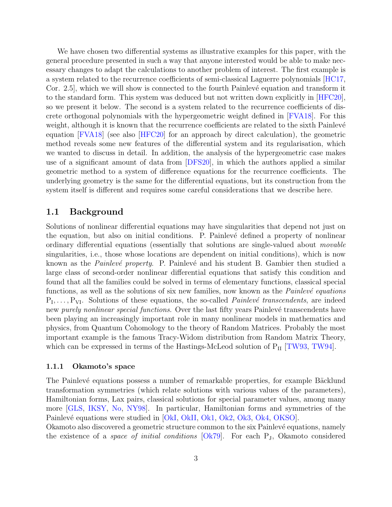We have chosen two differential systems as illustrative examples for this paper, with the general procedure presented in such a way that anyone interested would be able to make necessary changes to adapt the calculations to another problem of interest. The first example is a system related to the recurrence coefficients of semi-classical Laguerre polynomials [\[HC17,](#page-46-0) Cor. 2.5, which we will show is connected to the fourth Painlevé equation and transform it to the standard form. This system was deduced but not written down explicitly in [\[HFC20\]](#page-46-7), so we present it below. The second is a system related to the recurrence coefficients of discrete orthogonal polynomials with the hypergeometric weight defined in [\[FVA18\]](#page-46-1). For this weight, although it is known that the recurrence coefficients are related to the sixth Painlevé equation [\[FVA18\]](#page-46-1) (see also [\[HFC20\]](#page-46-7) for an approach by direct calculation), the geometric method reveals some new features of the differential system and its regularisation, which we wanted to discuss in detail. In addition, the analysis of the hypergeometric case makes use of a significant amount of data from [\[DFS20\]](#page-46-2), in which the authors applied a similar geometric method to a system of difference equations for the recurrence coefficients. The underlying geometry is the same for the differential equations, but its construction from the system itself is different and requires some careful considerations that we describe here.

## 1.1 Background

Solutions of nonlinear differential equations may have singularities that depend not just on the equation, but also on initial conditions. P. Painlevé defined a property of nonlinear ordinary differential equations (essentially that solutions are single-valued about movable singularities, i.e., those whose locations are dependent on initial conditions), which is now known as the *Painlevé property*. P. Painlevé and his student B. Gambier then studied a large class of second-order nonlinear differential equations that satisfy this condition and found that all the families could be solved in terms of elementary functions, classical special functions, as well as the solutions of six new families, now known as the *Painlevé equations*  $P_1, \ldots, P_{VI}$ . Solutions of these equations, the so-called *Painlevé transcendents*, are indeed new *purely nonlinear special functions*. Over the last fifty years Painlevé transcendents have been playing an increasingly important role in many nonlinear models in mathematics and physics, from Quantum Cohomology to the theory of Random Matrices. Probably the most important example is the famous Tracy-Widom distribution from Random Matrix Theory, which can be expressed in terms of the Hastings-McLeod solution of  $P_{II}$  [\[TW93,](#page-48-9) [TW94\]](#page-48-10).

#### 1.1.1 Okamoto's space

The Painlevé equations possess a number of remarkable properties, for example Bäcklund transformation symmetries (which relate solutions with various values of the parameters), Hamiltonian forms, Lax pairs, classical solutions for special parameter values, among many more [\[GLS,](#page-46-8) [IKSY,](#page-47-3) [No,](#page-47-4) [NY98\]](#page-47-5). In particular, Hamiltonian forms and symmetries of the Painlevé equations were studied in [\[OkI,](#page-47-6) [OkII,](#page-47-7) [Ok1,](#page-47-8) [Ok2,](#page-47-9) [Ok3,](#page-48-11) [Ok4,](#page-48-12) [OKSO\]](#page-47-10).

Okamoto also discovered a geometric structure common to the six Painlevé equations, namely the existence of a *space of initial conditions*  $[Ok79]$ . For each  $P_J$ , Okamoto considered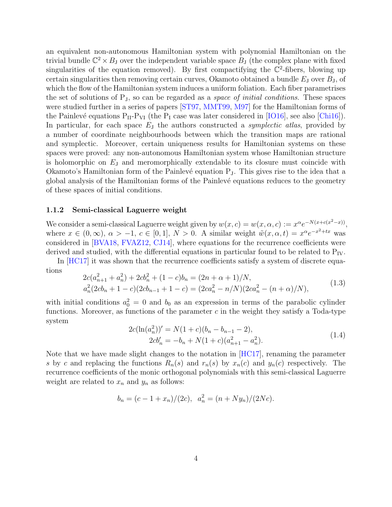an equivalent non-autonomous Hamiltonian system with polynomial Hamiltonian on the trivial bundle  $\mathbb{C}^2 \times B_J$  over the independent variable space  $B_J$  (the complex plane with fixed singularities of the equation removed). By first compactifying the  $\mathbb{C}^2$ -fibers, blowing up certain singularities then removing certain curves, Okamoto obtained a bundle  $E_J$  over  $B_J$ , of which the flow of the Hamiltonian system induces a uniform foliation. Each fiber parametrises the set of solutions of  $P_J$ , so can be regarded as a *space of initial conditions*. These spaces were studied further in a series of papers [\[ST97,](#page-48-13) [MMT99,](#page-47-11) [M97\]](#page-47-12) for the Hamiltonian forms of the Painlevé equations  $P_{II}-P_{VI}$  (the  $P_I$  case was later considered in [\[IO16\]](#page-47-13), see also [\[Chi16\]](#page-45-3)). In particular, for each space  $E_J$  the authors constructed a *symplectic atlas*, provided by a number of coordinate neighbourhoods between which the transition maps are rational and symplectic. Moreover, certain uniqueness results for Hamiltonian systems on these spaces were proved: any non-autonomous Hamiltonian system whose Hamiltonian structure is holomorphic on  $E_J$  and meromorphically extendable to its closure must coincide with Okamoto's Hamiltonian form of the Painlevé equation  $P_J$ . This gives rise to the idea that a global analysis of the Hamiltonian forms of the Painlevé equations reduces to the geometry of these spaces of initial conditions.

#### <span id="page-3-2"></span>1.1.2 Semi-classical Laguerre weight

We consider a semi-classical Laguerre weight given by  $w(x, c) = w(x, \alpha, c) := x^{\alpha} e^{-N(x + c(x^2 - x))}$ , where  $x \in (0, \infty)$ ,  $\alpha > -1$ ,  $c \in [0, 1]$ ,  $N > 0$ . A similar weight  $\tilde{w}(x, \alpha, t) = x^{\alpha} e^{-x^2 + tx}$  was considered in [\[BVA18,](#page-45-4) [FVAZ12,](#page-46-9) [CJ14\]](#page-45-5), where equations for the recurrence coefficients were derived and studied, with the differential equations in particular found to be related to  $P_{IV}$ .

In [\[HC17\]](#page-46-0) it was shown that the recurrence coefficients satisfy a system of discrete equations

<span id="page-3-0"></span>
$$
2c(a_{n+1}^2 + a_n^2) + 2cb_n^2 + (1 - c)b_n = (2n + \alpha + 1)/N,
$$
  
\n
$$
a_n^2(2cb_n + 1 - c)(2cb_{n-1} + 1 - c) = (2ca_n^2 - n/N)(2ca_n^2 - (n + \alpha)/N),
$$
\n(1.3)

with initial conditions  $a_0^2 = 0$  and  $b_0$  as an expression in terms of the parabolic cylinder functions. Moreover, as functions of the parameter  $c$  in the weight they satisfy a Toda-type system

<span id="page-3-1"></span>
$$
2c(\ln(a_n^2))' = N(1+c)(b_n - b_{n-1} - 2),
$$
  
\n
$$
2cb'_n = -b_n + N(1+c)(a_{n+1}^2 - a_n^2).
$$
\n(1.4)

Note that we have made slight changes to the notation in [\[HC17\]](#page-46-0), renaming the parameter s by c and replacing the functions  $R_n(s)$  and  $r_n(s)$  by  $x_n(c)$  and  $y_n(c)$  respectively. The recurrence coefficients of the monic orthogonal polynomials with this semi-classical Laguerre weight are related to  $x_n$  and  $y_n$  as follows:

$$
b_n = (c - 1 + x_n)/(2c), \ \ a_n^2 = (n + Ny_n)/(2Nc).
$$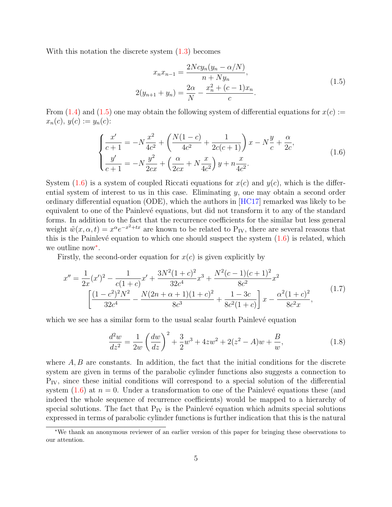With this notation the discrete system  $(1.3)$  becomes

<span id="page-4-0"></span>
$$
x_n x_{n-1} = \frac{2Ncy_n(y_n - \alpha/N)}{n + Ny_n},
$$
  

$$
2(y_{n+1} + y_n) = \frac{2\alpha}{N} - \frac{x_n^2 + (c-1)x_n}{c}.
$$
 (1.5)

From  $(1.4)$  and  $(1.5)$  one may obtain the following system of differential equations for  $x(c) :=$  $x_n(c), y(c) := y_n(c)$ :

<span id="page-4-1"></span>
$$
\begin{cases}\n\frac{x'}{c+1} = -N\frac{x^2}{4c^2} + \left(\frac{N(1-c)}{4c^2} + \frac{1}{2c(c+1)}\right)x - N\frac{y}{c} + \frac{\alpha}{2c},\\
\frac{y'}{c+1} = -N\frac{y^2}{2cx} + \left(\frac{\alpha}{2cx} + N\frac{x}{4c^2}\right)y + n\frac{x}{4c^2}.\n\end{cases}
$$
\n(1.6)

System [\(1.6\)](#page-4-1) is a system of coupled Riccati equations for  $x(c)$  and  $y(c)$ , which is the differential system of interest to us in this case. Eliminating y, one may obtain a second order ordinary differential equation (ODE), which the authors in [\[HC17\]](#page-46-0) remarked was likely to be equivalent to one of the Painlevé equations, but did not transform it to any of the standard forms. In addition to the fact that the recurrence coefficients for the similar but less general weight  $\tilde{w}(x,\alpha,t) = x^{\alpha}e^{-x^2+tx}$  are known to be related to  $P_{IV}$ , there are several reasons that this is the Painlevé equation to which one should suspect the system  $(1.6)$  is related, which we outline now<sup>\*</sup>.

Firstly, the second-order equation for  $x(c)$  is given explicitly by

$$
x'' = \frac{1}{2x}(x')^2 - \frac{1}{c(1+c)}x' + \frac{3N^2(1+c)^2}{32c^4}x^3 + \frac{N^2(c-1)(c+1)^2}{8c^2}x^2
$$
  

$$
\left[\frac{(1-c^2)^2N^2}{32c^4} - \frac{N(2n+\alpha+1)(1+c)^2}{8c^3} + \frac{1-3c}{8c^2(1+c)}\right]x - \frac{\alpha^2(1+c)^2}{8c^2x},
$$
(1.7)

which we see has a similar form to the usual scalar fourth Painlevé equation

$$
\frac{d^2w}{dz^2} = \frac{1}{2w} \left(\frac{dw}{dz}\right)^2 + \frac{3}{2}w^3 + 4zw^2 + 2(z^2 - A)w + \frac{B}{w},\tag{1.8}
$$

where  $A, B$  are constants. In addition, the fact that the initial conditions for the discrete system are given in terms of the parabolic cylinder functions also suggests a connection to  $P_{IV}$ , since these initial conditions will correspond to a special solution of the differential system  $(1.6)$  at  $n = 0$ . Under a transformation to one of the Painlevé equations these (and indeed the whole sequence of recurrence coefficients) would be mapped to a hierarchy of special solutions. The fact that  $P_{IV}$  is the Painlevé equation which admits special solutions expressed in terms of parabolic cylinder functions is further indication that this is the natural

<span id="page-4-2"></span><sup>∗</sup>We thank an anonymous reviewer of an earlier version of this paper for bringing these observations to our attention.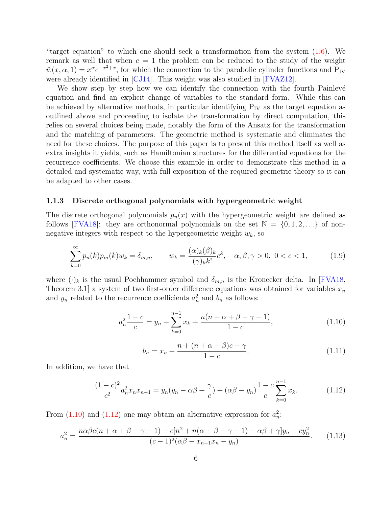"target equation" to which one should seek a transformation from the system [\(1.6\)](#page-4-1). We remark as well that when  $c = 1$  the problem can be reduced to the study of the weight  $\tilde{w}(x,\alpha,1) = x^{\alpha}e^{-x^2+x}$ , for which the connection to the parabolic cylinder functions and P<sub>IV</sub> were already identified in [\[CJ14\]](#page-45-5). This weight was also studied in [\[FVAZ12\]](#page-46-9).

We show step by step how we can identify the connection with the fourth Painlevé equation and find an explicit change of variables to the standard form. While this can be achieved by alternative methods, in particular identifying  $P_{IV}$  as the target equation as outlined above and proceeding to isolate the transformation by direct computation, this relies on several choices being made, notably the form of the Ansatz for the transformation and the matching of parameters. The geometric method is systematic and eliminates the need for these choices. The purpose of this paper is to present this method itself as well as extra insights it yields, such as Hamiltonian structures for the differential equations for the recurrence coefficients. We choose this example in order to demonstrate this method in a detailed and systematic way, with full exposition of the required geometric theory so it can be adapted to other cases.

#### 1.1.3 Discrete orthogonal polynomials with hypergeometric weight

The discrete orthogonal polynomials  $p_n(x)$  with the hypergeometric weight are defined as follows [\[FVA18\]](#page-46-1): they are orthonormal polynomials on the set  $\mathbb{N} = \{0, 1, 2, \ldots\}$  of nonnegative integers with respect to the hypergeometric weight  $w_k$ , so

<span id="page-5-4"></span>
$$
\sum_{k=0}^{\infty} p_n(k) p_m(k) w_k = \delta_{m,n}, \qquad w_k = \frac{(\alpha)_k (\beta)_k}{(\gamma)_k k!} c^k, \quad \alpha, \beta, \gamma > 0, \ 0 < c < 1,\tag{1.9}
$$

where  $(\cdot)_k$  is the usual Pochhammer symbol and  $\delta_{m,n}$  is the Kronecker delta. In [\[FVA18,](#page-46-1) Theorem 3.1 a system of two first-order difference equations was obtained for variables  $x_n$ and  $y_n$  related to the recurrence coefficients  $a_n^2$  and  $b_n$  as follows:

<span id="page-5-0"></span>
$$
a_n^2 \frac{1-c}{c} = y_n + \sum_{k=0}^{n-1} x_k + \frac{n(n+\alpha+\beta-\gamma-1)}{1-c},
$$
\n(1.10)

<span id="page-5-2"></span>
$$
b_n = x_n + \frac{n + (n + \alpha + \beta)c - \gamma}{1 - c}.
$$
\n
$$
(1.11)
$$

In addition, we have that

<span id="page-5-1"></span>
$$
\frac{(1-c)^2}{c^2}a_n^2x_nx_{n-1} = y_n(y_n - \alpha\beta + \frac{\gamma}{c}) + (\alpha\beta - y_n)\frac{1-c}{c}\sum_{k=0}^{n-1}x_k.
$$
 (1.12)

From  $(1.10)$  and  $(1.12)$  one may obtain an alternative expression for  $a_n^2$ .

<span id="page-5-3"></span>
$$
a_n^2 = \frac{n\alpha\beta c(n+\alpha+\beta-\gamma-1) - c[n^2 + n(\alpha+\beta-\gamma-1) - \alpha\beta+\gamma]y_n - cy_n^2}{(c-1)^2(\alpha\beta - x_{n-1}x_n - y_n)}.
$$
 (1.13)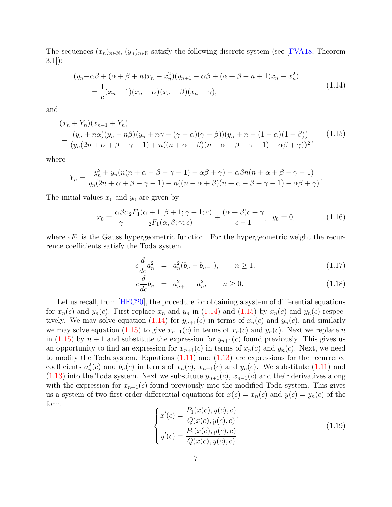The sequences  $(x_n)_{n\in\mathbb{N}}$ ,  $(y_n)_{n\in\mathbb{N}}$  satisfy the following discrete system (see [\[FVA18,](#page-46-1) Theorem 3.1]):

<span id="page-6-0"></span>
$$
(y_n - \alpha \beta + (\alpha + \beta + n)x_n - x_n^2)(y_{n+1} - \alpha \beta + (\alpha + \beta + n + 1)x_n - x_n^2) = \frac{1}{c}(x_n - 1)(x_n - \alpha)(x_n - \beta)(x_n - \gamma),
$$
(1.14)

and

$$
(x_n + Y_n)(x_{n-1} + Y_n)
$$
  
= 
$$
\frac{(y_n + n\alpha)(y_n + n\beta)(y_n + n\gamma - (\gamma - \alpha)(\gamma - \beta))(y_n + n - (1 - \alpha)(1 - \beta))}{(y_n(2n + \alpha + \beta - \gamma - 1) + n((n + \alpha + \beta)(n + \alpha + \beta - \gamma - 1) - \alpha\beta + \gamma))^2},
$$
 (1.15)

where

$$
Y_n = \frac{y_n^2 + y_n(n(n + \alpha + \beta - \gamma - 1) - \alpha\beta + \gamma) - \alpha\beta n(n + \alpha + \beta - \gamma - 1)}{y_n(2n + \alpha + \beta - \gamma - 1) + n((n + \alpha + \beta)(n + \alpha + \beta - \gamma - 1) - \alpha\beta + \gamma)}.
$$

The initial values  $x_0$  and  $y_0$  are given by

$$
x_0 = \frac{\alpha \beta c}{\gamma} \frac{{}_2F_1(\alpha+1, \beta+1; \gamma+1; c)}{{}_2F_1(\alpha, \beta; \gamma; c)} + \frac{(\alpha+\beta)c-\gamma}{c-1}, \ \ y_0 = 0,
$$
 (1.16)

where  ${}_2F_1$  is the Gauss hypergeometric function. For the hypergeometric weight the recurrence coefficients satisfy the Toda system

<span id="page-6-1"></span>
$$
c\frac{d}{dc}a_n^2 = a_n^2(b_n - b_{n-1}), \qquad n \ge 1,
$$
\n(1.17)

$$
c\frac{d}{dc}b_n = a_{n+1}^2 - a_n^2, \qquad n \ge 0.
$$
 (1.18)

Let us recall, from [\[HFC20\]](#page-46-7), the procedure for obtaining a system of differential equations for  $x_n(c)$  and  $y_n(c)$ . First replace  $x_n$  and  $y_n$  in [\(1.14\)](#page-6-0) and [\(1.15\)](#page-6-1) by  $x_n(c)$  and  $y_n(c)$  respec-tively. We may solve equation [\(1.14\)](#page-6-0) for  $y_{n+1}(c)$  in terms of  $x_n(c)$  and  $y_n(c)$ , and similarly we may solve equation [\(1.15\)](#page-6-1) to give  $x_{n-1}(c)$  in terms of  $x_n(c)$  and  $y_n(c)$ . Next we replace n in [\(1.15\)](#page-6-1) by  $n + 1$  and substitute the expression for  $y_{n+1}(c)$  found previously. This gives us an opportunity to find an expression for  $x_{n+1}(c)$  in terms of  $x_n(c)$  and  $y_n(c)$ . Next, we need to modify the Toda system. Equations  $(1.11)$  and  $(1.13)$  are expressions for the recurrence coefficients  $a_n^2(c)$  and  $b_n(c)$  in terms of  $x_n(c)$ ,  $x_{n-1}(c)$  and  $y_n(c)$ . We substitute [\(1.11\)](#page-5-2) and [\(1.13\)](#page-5-3) into the Toda system. Next we substitute  $y_{n+1}(c)$ ,  $x_{n-1}(c)$  and their derivatives along with the expression for  $x_{n+1}(c)$  found previously into the modified Toda system. This gives us a system of two first order differential equations for  $x(c) = x_n(c)$  and  $y(c) = y_n(c)$  of the form

<span id="page-6-2"></span>
$$
\begin{cases}\nx'(c) = \frac{P_1(x(c), y(c), c)}{Q(x(c), y(c), c)},\\
y'(c) = \frac{P_2(x(c), y(c), c)}{Q(x(c), y(c), c)},\n\end{cases}
$$
\n(1.19)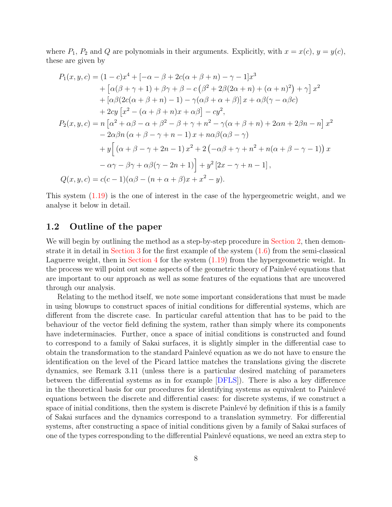where  $P_1$ ,  $P_2$  and Q are polynomials in their arguments. Explicitly, with  $x = x(c)$ ,  $y = y(c)$ , these are given by

$$
P_1(x, y, c) = (1 - c)x^4 + [-\alpha - \beta + 2c(\alpha + \beta + n) - \gamma - 1]x^3
$$
  
+ 
$$
[\alpha(\beta + \gamma + 1) + \beta\gamma + \beta - c(\beta^2 + 2\beta(2\alpha + n) + (\alpha + n)^2) + \gamma] x^2
$$
  
+ 
$$
[\alpha\beta(2c(\alpha + \beta + n) - 1) - \gamma(\alpha\beta + \alpha + \beta)]x + \alpha\beta(\gamma - \alpha\beta c)
$$
  
+ 
$$
2cy[x^2 - (\alpha + \beta + n)x + \alpha\beta] - cy^2,
$$
  

$$
P_2(x, y, c) = n[\alpha^2 + \alpha\beta - \alpha + \beta^2 - \beta + \gamma + n^2 - \gamma(\alpha + \beta + n) + 2\alpha n + 2\beta n - n] x^2
$$
  
- 
$$
2\alpha\beta n(\alpha + \beta - \gamma + n - 1)x + n\alpha\beta(\alpha\beta - \gamma)
$$
  
+ 
$$
y[(\alpha + \beta - \gamma + 2n - 1)x^2 + 2(-\alpha\beta + \gamma + n^2 + n(\alpha + \beta - \gamma - 1))x - \alpha\gamma - \beta\gamma + \alpha\beta(\gamma - 2n + 1)] + y^2[2x - \gamma + n - 1],
$$
  

$$
Q(x, y, c) = c(c - 1)(\alpha\beta - (n + \alpha + \beta)x + x^2 - y).
$$

This system [\(1.19\)](#page-6-2) is the one of interest in the case of the hypergeometric weight, and we analyse it below in detail.

## 1.2 Outline of the paper

We will begin by outlining the method as a step-by-step procedure in [Section 2,](#page-8-0) then demon-strate it in detail in [Section 3](#page-10-0) for the first example of the system  $(1.6)$  from the semi-classical Laguerre weight, then in [Section 4](#page-31-0) for the system [\(1.19\)](#page-6-2) from the hypergeometric weight. In the process we will point out some aspects of the geometric theory of Painlevé equations that are important to our approach as well as some features of the equations that are uncovered through our analysis.

Relating to the method itself, we note some important considerations that must be made in using blowups to construct spaces of initial conditions for differential systems, which are different from the discrete case. In particular careful attention that has to be paid to the behaviour of the vector field defining the system, rather than simply where its components have indeterminacies. Further, once a space of initial conditions is constructed and found to correspond to a family of Sakai surfaces, it is slightly simpler in the differential case to obtain the transformation to the standard Painlev´e equation as we do not have to ensure the identification on the level of the Picard lattice matches the translations giving the discrete dynamics, see Remark 3.11 (unless there is a particular desired matching of parameters between the differential systems as in for example [\[DFLS\]](#page-46-10)). There is also a key difference in the theoretical basis for our procedures for identifying systems as equivalent to Painlevé equations between the discrete and differential cases: for discrete systems, if we construct a space of initial conditions, then the system is discrete Painlevé by definition if this is a family of Sakai surfaces and the dynamics correspond to a translation symmetry. For differential systems, after constructing a space of initial conditions given by a family of Sakai surfaces of one of the types corresponding to the differential Painlevé equations, we need an extra step to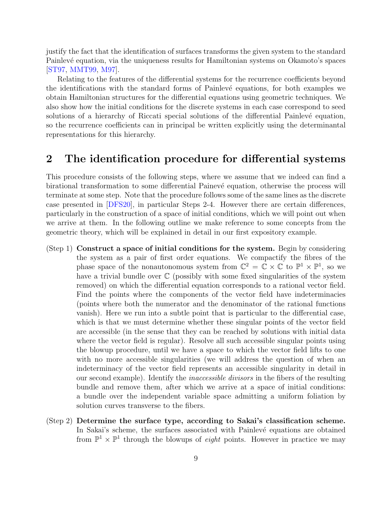justify the fact that the identification of surfaces transforms the given system to the standard Painlevé equation, via the uniqueness results for Hamiltonian systems on Okamoto's spaces [\[ST97,](#page-48-13) [MMT99,](#page-47-11) [M97\]](#page-47-12).

Relating to the features of the differential systems for the recurrence coefficients beyond the identifications with the standard forms of Painlevé equations, for both examples we obtain Hamiltonian structures for the differential equations using geometric techniques. We also show how the initial conditions for the discrete systems in each case correspond to seed solutions of a hierarchy of Riccati special solutions of the differential Painlevé equation, so the recurrence coefficients can in principal be written explicitly using the determinantal representations for this hierarchy.

# <span id="page-8-0"></span>2 The identification procedure for differential systems

This procedure consists of the following steps, where we assume that we indeed can find a birational transformation to some differential Painevé equation, otherwise the process will terminate at some step. Note that the procedure follows some of the same lines as the discrete case presented in [\[DFS20\]](#page-46-2), in particular Steps 2-4. However there are certain differences, particularly in the construction of a space of initial conditions, which we will point out when we arrive at them. In the following outline we make reference to some concepts from the geometric theory, which will be explained in detail in our first expository example.

- (Step 1) Construct a space of initial conditions for the system. Begin by considering the system as a pair of first order equations. We compactify the fibres of the phase space of the nonautonomous system from  $\mathbb{C}^2 = \mathbb{C} \times \mathbb{C}$  to  $\mathbb{P}^1 \times \mathbb{P}^1$ , so we have a trivial bundle over  $\mathbb C$  (possibly with some fixed singularities of the system removed) on which the differential equation corresponds to a rational vector field. Find the points where the components of the vector field have indeterminacies (points where both the numerator and the denominator of the rational functions vanish). Here we run into a subtle point that is particular to the differential case, which is that we must determine whether these singular points of the vector field are accessible (in the sense that they can be reached by solutions with initial data where the vector field is regular). Resolve all such accessible singular points using the blowup procedure, until we have a space to which the vector field lifts to one with no more accessible singularities (we will address the question of when an indeterminacy of the vector field represents an accessible singularity in detail in our second example). Identify the inaccessible divisors in the fibers of the resulting bundle and remove them, after which we arrive at a space of initial conditions: a bundle over the independent variable space admitting a uniform foliation by solution curves transverse to the fibers.
- (Step 2) Determine the surface type, according to Sakai's classification scheme. In Sakai's scheme, the surfaces associated with Painlevé equations are obtained from  $\mathbb{P}^1 \times \mathbb{P}^1$  through the blowups of *eight* points. However in practice we may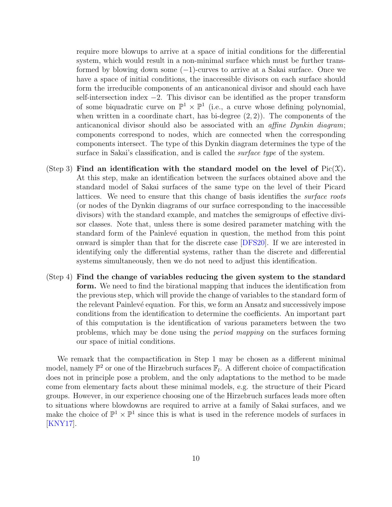require more blowups to arrive at a space of initial conditions for the differential system, which would result in a non-minimal surface which must be further transformed by blowing down some  $(-1)$ -curves to arrive at a Sakai surface. Once we have a space of initial conditions, the inaccessible divisors on each surface should form the irreducible components of an anticanonical divisor and should each have self-intersection index −2. This divisor can be identified as the proper transform of some biquadratic curve on  $\mathbb{P}^1 \times \mathbb{P}^1$  (i.e., a curve whose defining polynomial, when written in a coordinate chart, has bi-degree  $(2, 2)$ ). The components of the anticanonical divisor should also be associated with an affine Dynkin diagram; components correspond to nodes, which are connected when the corresponding components intersect. The type of this Dynkin diagram determines the type of the surface in Sakai's classification, and is called the *surface type* of the system.

- (Step 3) Find an identification with the standard model on the level of  $Pic(\mathfrak{X})$ . At this step, make an identification between the surfaces obtained above and the standard model of Sakai surfaces of the same type on the level of their Picard lattices. We need to ensure that this change of basis identifies the *surface roots* (or nodes of the Dynkin diagrams of our surface corresponding to the inaccessible divisors) with the standard example, and matches the semigroups of effective divisor classes. Note that, unless there is some desired parameter matching with the standard form of the Painlevé equation in question, the method from this point onward is simpler than that for the discrete case [\[DFS20\]](#page-46-2). If we are interested in identifying only the differential systems, rather than the discrete and differential systems simultaneously, then we do not need to adjust this identification.
- (Step 4) Find the change of variables reducing the given system to the standard form. We need to find the birational mapping that induces the identification from the previous step, which will provide the change of variables to the standard form of the relevant Painlevé equation. For this, we form an Ansatz and successively impose conditions from the identification to determine the coefficients. An important part of this computation is the identification of various parameters between the two problems, which may be done using the period mapping on the surfaces forming our space of initial conditions.

We remark that the compactification in Step 1 may be chosen as a different minimal model, namely  $\mathbb{P}^2$  or one of the Hirzebruch surfaces  $\mathbb{F}_l$ . A different choice of compactification does not in principle pose a problem, and the only adaptations to the method to be made come from elementary facts about these minimal models, e.g. the structure of their Picard groups. However, in our experience choosing one of the Hirzebruch surfaces leads more often to situations where blowdowns are required to arrive at a family of Sakai surfaces, and we make the choice of  $\mathbb{P}^1 \times \mathbb{P}^1$  since this is what is used in the reference models of surfaces in [\[KNY17\]](#page-47-0).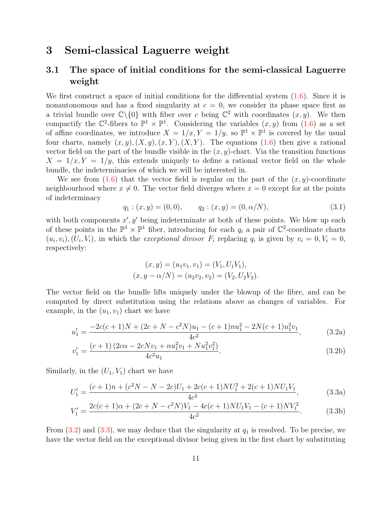# <span id="page-10-0"></span>3 Semi-classical Laguerre weight

## <span id="page-10-3"></span>3.1 The space of initial conditions for the semi-classical Laguerre weight

We first construct a space of initial conditions for the differential system  $(1.6)$ . Since it is nonautonomous and has a fixed singularity at  $c = 0$ , we consider its phase space first as a trivial bundle over  $\mathbb{C}\backslash\{0\}$  with fiber over c being  $\mathbb{C}^2$  with coordinates  $(x, y)$ . We then compactify the C<sup>2</sup>-fibers to  $\mathbb{P}^1 \times \mathbb{P}^1$ . Considering the variables  $(x, y)$  from  $(1.6)$  as a set of affine coordinates, we introduce  $X = 1/x, Y = 1/y$ , so  $\mathbb{P}^1 \times \mathbb{P}^1$  is covered by the usual four charts, namely  $(x, y), (X, y), (x, Y), (X, Y)$ . The equations [\(1.6\)](#page-4-1) then give a rational vector field on the part of the bundle visible in the  $(x, y)$ -chart. Via the transition functions  $X = 1/x, Y = 1/y$ , this extends uniquely to define a rational vector field on the whole bundle, the indeterminacies of which we will be interested in.

We see from  $(1.6)$  that the vector field is regular on the part of the  $(x, y)$ -coordinate neighbourhood where  $x \neq 0$ . The vector field diverges where  $x = 0$  except for at the points of indeterminacy

$$
q_1: (x, y) = (0, 0), \qquad q_2: (x, y) = (0, \alpha/N), \tag{3.1}
$$

with both components  $x', y'$  being indeterminate at both of these points. We blow up each of these points in the  $\mathbb{P}^1 \times \mathbb{P}^1$  fiber, introducing for each  $q_i$  a pair of  $\mathbb{C}^2$ -coordinate charts  $(u_i, v_i), (U_i, V_i)$ , in which the exceptional divisor  $F_i$  replacing  $q_i$  is given by  $v_i = 0, V_i = 0$ , respectively:

<span id="page-10-1"></span>
$$
(x, y) = (u_1v_1, v_1) = (V_1, U_1V_1),
$$
  

$$
(x, y - \alpha/N) = (u_2v_2, v_2) = (V_2, U_2V_2).
$$

The vector field on the bundle lifts uniquely under the blowup of the fibre, and can be computed by direct substitution using the relations above as changes of variables. For example, in the  $(u_1, v_1)$  chart we have

$$
u_1' = \frac{-2c(c+1)N + (2c+N-c^2N)u_1 - (c+1)nu_1^2 - 2N(c+1)u_1^2v_1}{4c^2},
$$
\n(3.2a)

<span id="page-10-2"></span>
$$
v_1' = \frac{(c+1)(2c\alpha - 2cNv_1 + nu_1^2v_1 + Nu_1^2v_1^2)}{4c^2u_1}.
$$
\n(3.2b)

Similarly, in the  $(U_1, V_1)$  chart we have

$$
U_1' = \frac{(c+1)n + (c^2N - N - 2c)U_1 + 2c(c+1)NU_1^2 + 2(c+1)NU_1V_1}{4c^2},
$$
\n(3.3a)

$$
V_1' = \frac{2c(c+1)\alpha + (2c+N-c^2N)V_1 - 4c(c+1)NU_1V_1 - (c+1)NV_1^2}{4c^2}.
$$
 (3.3b)

From  $(3.2)$  and  $(3.3)$ , we may deduce that the singularity at  $q_1$  is resolved. To be precise, we have the vector field on the exceptional divisor being given in the first chart by substituting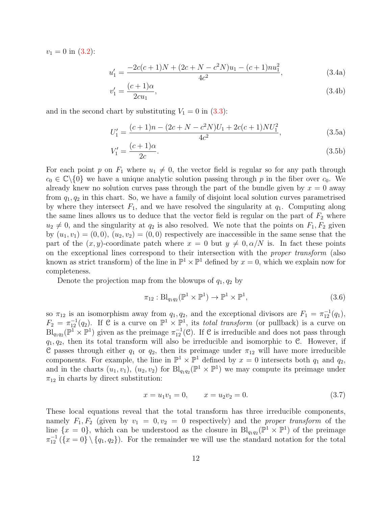$v_1 = 0$  in [\(3.2\)](#page-10-1):

$$
u_1' = \frac{-2c(c+1)N + (2c+N-c^2N)u_1 - (c+1)nu_1^2}{4c^2},
$$
\n(3.4a)

$$
v_1' = \frac{(c+1)\alpha}{2cu_1},\tag{3.4b}
$$

and in the second chart by substituting  $V_1 = 0$  in  $(3.3)$ :

$$
U_1' = \frac{(c+1)n - (2c+N-c^2N)U_1 + 2c(c+1)NU_1^2}{4c^2},
$$
\n(3.5a)

$$
V_1' = \frac{(c+1)\alpha}{2c}.\tag{3.5b}
$$

For each point p on  $F_1$  where  $u_1 \neq 0$ , the vector field is regular so for any path through  $c_0 \in \mathbb{C} \backslash \{0\}$  we have a unique analytic solution passing through p in the fiber over  $c_0$ . We already knew no solution curves pass through the part of the bundle given by  $x = 0$  away from  $q_1, q_2$  in this chart. So, we have a family of disjoint local solution curves parametrised by where they intersect  $F_1$ , and we have resolved the singularity at  $q_1$ . Computing along the same lines allows us to deduce that the vector field is regular on the part of  $F_2$  where  $u_2 \neq 0$ , and the singularity at  $q_2$  is also resolved. We note that the points on  $F_1, F_2$  given by  $(u_1, v_1) = (0, 0), (u_2, v_2) = (0, 0)$  respectively are inaccessible in the same sense that the part of the  $(x, y)$ -coordinate patch where  $x = 0$  but  $y \neq 0, \alpha/N$  is. In fact these points on the exceptional lines correspond to their intersection with the proper transform (also known as strict transform) of the line in  $\mathbb{P}^1 \times \mathbb{P}^1$  defined by  $x = 0$ , which we explain now for completeness.

Denote the projection map from the blowups of  $q_1, q_2$  by

$$
\pi_{12}: \text{Bl}_{q_1q_2}(\mathbb{P}^1 \times \mathbb{P}^1) \to \mathbb{P}^1 \times \mathbb{P}^1,\tag{3.6}
$$

so  $\pi_{12}$  is an isomorphism away from  $q_1, q_2$ , and the exceptional divisors are  $F_1 = \pi_{12}^{-1}(q_1)$ ,  $F_2 = \pi_{12}^{-1}(q_2)$ . If C is a curve on  $\mathbb{P}^1 \times \mathbb{P}^1$ , its *total transform* (or pullback) is a curve on  $\text{Bl}_{q_1q_2}(\mathbb{P}^1 \times \mathbb{P}^1)$  given as the preimage  $\pi_{12}^{-1}(\mathcal{C})$ . If  $\mathcal C$  is irreducible and does not pass through  $q_1, q_2$ , then its total transform will also be irreducible and isomorphic to C. However, if C passes through either  $q_1$  or  $q_2$ , then its preimage under  $\pi_{12}$  will have more irreducible components. For example, the line in  $\mathbb{P}^1 \times \mathbb{P}^1$  defined by  $x = 0$  intersects both  $q_1$  and  $q_2$ , and in the charts  $(u_1, v_1)$ ,  $(u_2, v_2)$  for  $\text{Bl}_{q_1q_2}(\mathbb{P}^1 \times \mathbb{P}^1)$  we may compute its preimage under  $\pi_{12}$  in charts by direct substitution:

$$
x = u_1 v_1 = 0, \qquad x = u_2 v_2 = 0. \tag{3.7}
$$

These local equations reveal that the total transform has three irreducible components, namely  $F_1, F_2$  (given by  $v_1 = 0, v_2 = 0$  respectively) and the proper transform of the line  $\{x = 0\}$ , which can be understood as the closure in  $\text{Bl}_{q_1q_2}(\mathbb{P}^1 \times \mathbb{P}^1)$  of the preimage  $\pi_{12}^{-1}$  ( $\{x=0\} \setminus \{q_1,q_2\}$ ). For the remainder we will use the standard notation for the total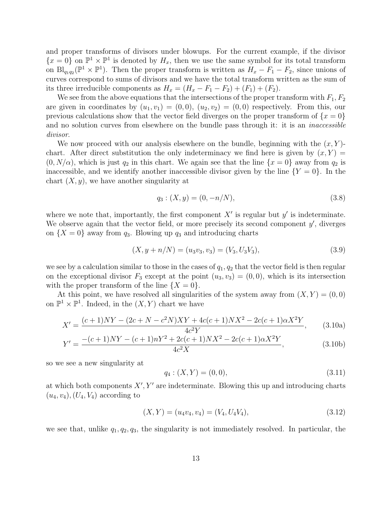and proper transforms of divisors under blowups. For the current example, if the divisor  $\{x=0\}$  on  $\mathbb{P}^1 \times \mathbb{P}^1$  is denoted by  $H_x$ , then we use the same symbol for its total transform on  $\text{Bl}_{q_1q_2}(\mathbb{P}^1 \times \mathbb{P}^1)$ . Then the proper transform is written as  $H_x - F_1 - F_2$ , since unions of curves correspond to sums of divisors and we have the total transform written as the sum of its three irreducible components as  $H_x = (H_x - F_1 - F_2) + (F_1) + (F_2)$ .

We see from the above equations that the intersections of the proper transform with  $F_1, F_2$ are given in coordinates by  $(u_1, v_1) = (0, 0), (u_2, v_2) = (0, 0)$  respectively. From this, our previous calculations show that the vector field diverges on the proper transform of  $\{x=0\}$ and no solution curves from elsewhere on the bundle pass through it: it is an *inaccessible* divisor.

We now proceed with our analysis elsewhere on the bundle, beginning with the  $(x, Y)$ chart. After direct substitution the only indeterminacy we find here is given by  $(x, Y)$  =  $(0, N/\alpha)$ , which is just  $q_2$  in this chart. We again see that the line  $\{x = 0\}$  away from  $q_2$  is inaccessible, and we identify another inaccessible divisor given by the line  ${Y = 0}$ . In the chart  $(X, y)$ , we have another singularity at

$$
q_3: (X, y) = (0, -n/N), \tag{3.8}
$$

where we note that, importantly, the first component  $X'$  is regular but  $y'$  is indeterminate. We observe again that the vector field, or more precisely its second component  $y'$ , diverges on  $\{X = 0\}$  away from  $q_3$ . Blowing up  $q_3$  and introducing charts

$$
(X, y + n/N) = (u_3v_3, v_3) = (V_3, U_3V_3),
$$
\n(3.9)

we see by a calculation similar to those in the cases of  $q_1, q_2$  that the vector field is then regular on the exceptional divisor  $F_3$  except at the point  $(u_3, v_3) = (0, 0)$ , which is its intersection with the proper transform of the line  $\{X=0\}$ .

At this point, we have resolved all singularities of the system away from  $(X, Y) = (0, 0)$ on  $\mathbb{P}^1 \times \mathbb{P}^1$ . Indeed, in the  $(X, Y)$  chart we have

$$
X' = \frac{(c+1)NY - (2c+N-c^2N)XY + 4c(c+1)NX^2 - 2c(c+1)\alpha X^2Y}{4c^2Y},
$$
 (3.10a)

$$
Y' = \frac{-(c+1)NY - (c+1)nY^2 + 2c(c+1)NX^2 - 2c(c+1)\alpha X^2Y}{4c^2X},
$$
\n(3.10b)

so we see a new singularity at

$$
q_4: (X, Y) = (0, 0), \tag{3.11}
$$

at which both components  $X', Y'$  are indeterminate. Blowing this up and introducing charts  $(u_4, v_4), (U_4, V_4)$  according to

$$
(X,Y) = (u_4v_4, v_4) = (V_4, U_4V_4), \tag{3.12}
$$

we see that, unlike  $q_1, q_2, q_3$ , the singularity is not immediately resolved. In particular, the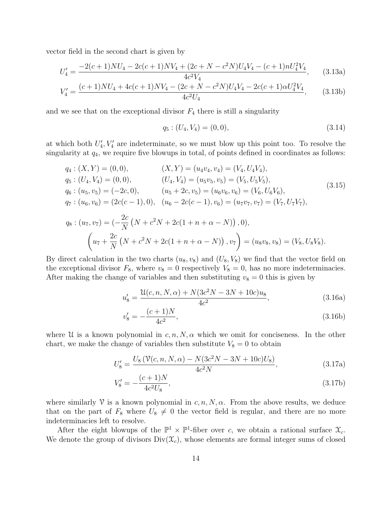vector field in the second chart is given by

$$
U_4' = \frac{-2(c+1)NU_4 - 2c(c+1)NV_4 + (2c+N-c^2N)U_4V_4 - (c+1)nU_4^2V_4}{4c^2V_4},
$$
 (3.13a)

$$
V_4' = \frac{(c+1)NU_4 + 4c(c+1)NV_4 - (2c+N-c^2N)U_4V_4 - 2c(c+1)\alpha U_4^2V_4}{4c^2U_4},
$$
 (3.13b)

and we see that on the exceptional divisor  $F_4$  there is still a singularity

$$
q_5: (U_4, V_4) = (0, 0), \tag{3.14}
$$

at which both  $U_4', V_4'$  are indeterminate, so we must blow up this point too. To resolve the singularity at  $q_4$ , we require five blowups in total, of points defined in coordinates as follows:

$$
q_4: (X, Y) = (0, 0), \qquad (X, Y) = (u_4v_4, v_4) = (V_4, U_4V_4),
$$
  
\n
$$
q_5: (U_4, V_4) = (0, 0), \qquad (U_4, V_4) = (u_5v_5, v_5) = (V_5, U_5V_5),
$$
  
\n
$$
q_6: (u_5, v_5) = (-2c, 0), \qquad (u_5 + 2c, v_5) = (u_6v_6, v_6) = (V_6, U_6V_6),
$$
  
\n
$$
q_7: (u_6, v_6) = (2c(c - 1), 0), \quad (u_6 - 2c(c - 1), v_6) = (u_7v_7, v_7) = (V_7, U_7V_7),
$$
  
\n
$$
q_8: (u_7, u_7) = (2c(c - 1), 0), \quad (u_8 - 2c(c - 1), v_8) = (u_7v_7, v_7) = (V_7, U_7V_7),
$$
  
\n
$$
q_9: (2c(c - 1), 0) = (2c(c - 1), 0) = (2c(c - 1), v_8) = (2c(c - 1), v_9 = (2c(c - 1), v_9) = (2c(c - 1), v_9 = (2c(c - 1), v_9 = (2c(c - 1), v_9 = (2c(c - 1), v_9 = (2c(c - 1), v_9 = (2c(c - 1), v_9 = (2c(c - 1), v_9 = (2c(c - 1), v_9 = (2c(c - 1), v_9 = (2c(c - 1), v_9 = (2c(c - 1), v_9 = (2c(c - 1), v_9 = (2c(c - 1), v_9 = (2c(c - 1), v_9 = (2c(c - 1), v_9 = (2c(c - 1), v_9 = (2c(c - 1), v_9 = (2c(c - 1), v_9 = (2c(c - 1), v_9 = (2c(c - 1), v_9 = (2c(c - 1), v_9 = (2c(c - 1), v_9 = (2c(c - 1), v_9 = (2c(c - 1), v_9 = (2c(c - 1), v_9 = (2c(c - 1), v_9 = (2c(c - 1), v_
$$

$$
q_8: (u_7, v_7) = \left(-\frac{2c}{N}\left(N + c^2N + 2c(1 + n + \alpha - N)\right), 0\right),
$$

$$
\left(u_7 + \frac{2c}{N}\left(N + c^2N + 2c(1 + n + \alpha - N)\right), v_7\right) = (u_8v_8, v_8) = (V_8, U_8V_8).
$$

By direct calculation in the two charts  $(u_8, v_8)$  and  $(U_8, V_8)$  we find that the vector field on the exceptional divisor  $F_8$ , where  $v_8 = 0$  respectively  $V_8 = 0$ , has no more indeterminacies. After making the change of variables and then substituting  $v_8 = 0$  this is given by

$$
u'_{8} = \frac{\mathcal{U}(c, n, N, \alpha) + N(3c^{2}N - 3N + 10c)u_{8}}{4c^{2}},
$$
\n(3.16a)

$$
v_8' = -\frac{(c+1)N}{4c^2},\tag{3.16b}
$$

where U is a known polynomial in  $c, n, N, \alpha$  which we omit for conciseness. In the other chart, we make the change of variables then substitute  $V_8 = 0$  to obtain

$$
U_8' = \frac{U_8(\mathcal{V}(c, n, N, \alpha) - N(3c^2N - 3N + 10c)U_8)}{4c^2N},
$$
\n(3.17a)

$$
V'_{8} = -\frac{(c+1)N}{4c^2U_8},\tag{3.17b}
$$

where similarly V is a known polynomial in  $c, n, N, \alpha$ . From the above results, we deduce that on the part of  $F_8$  where  $U_8 \neq 0$  the vector field is regular, and there are no more indeterminacies left to resolve.

After the eight blowups of the  $\mathbb{P}^1 \times \mathbb{P}^1$ -fiber over c, we obtain a rational surface  $\mathfrak{X}_c$ . We denote the group of divisors  $Div(\mathfrak{X}_c)$ , whose elements are formal integer sums of closed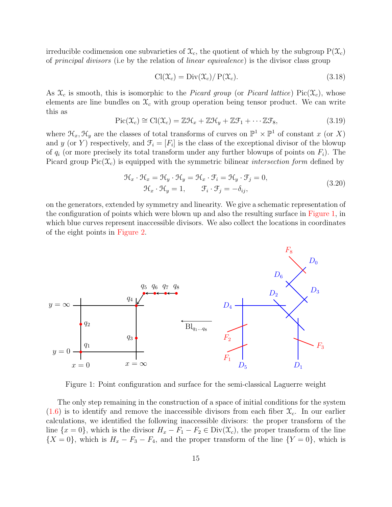irreducible codimension one subvarieties of  $\mathfrak{X}_c$ , the quotient of which by the subgroup  $P(\mathfrak{X}_c)$ of principal divisors (i.e by the relation of linear equivalence) is the divisor class group

$$
\text{Cl}(\mathfrak{X}_c) = \text{Div}(\mathfrak{X}_c) / \text{P}(\mathfrak{X}_c). \tag{3.18}
$$

As  $\mathfrak{X}_c$  is smooth, this is isomorphic to the *Picard group* (or *Picard lattice*) Pic( $\mathfrak{X}_c$ ), whose elements are line bundles on  $\mathfrak{X}_c$  with group operation being tensor product. We can write this as

$$
\operatorname{Pic}(\mathfrak{X}_c) \cong \operatorname{Cl}(\mathfrak{X}_c) = \mathbb{Z}\mathfrak{H}_x + \mathbb{Z}\mathfrak{H}_y + \mathbb{Z}\mathfrak{F}_1 + \cdots \mathbb{Z}\mathfrak{F}_8,\tag{3.19}
$$

where  $\mathfrak{H}_x, \mathfrak{H}_y$  are the classes of total transforms of curves on  $\mathbb{P}^1 \times \mathbb{P}^1$  of constant x (or X) and y (or Y) respectively, and  $\mathcal{F}_i = [F_i]$  is the class of the exceptional divisor of the blowup of  $q_i$  (or more precisely its total transform under any further blowups of points on  $F_i$ ). The Picard group  $Pic(\mathfrak{X}_c)$  is equipped with the symmetric bilinear *intersection form* defined by

<span id="page-14-1"></span>
$$
\mathcal{H}_x \cdot \mathcal{H}_x = \mathcal{H}_y \cdot \mathcal{H}_y = \mathcal{H}_x \cdot \mathcal{F}_i = \mathcal{H}_y \cdot \mathcal{F}_j = 0,
$$
  

$$
\mathcal{H}_x \cdot \mathcal{H}_y = 1, \qquad \mathcal{F}_i \cdot \mathcal{F}_j = -\delta_{ij},
$$
 (3.20)

on the generators, extended by symmetry and linearity. We give a schematic representation of the configuration of points which were blown up and also the resulting surface in [Figure 1,](#page-14-0) in which blue curves represent inaccessible divisors. We also collect the locations in coordinates of the eight points in [Figure 2.](#page-15-0)



<span id="page-14-0"></span>Figure 1: Point configuration and surface for the semi-classical Laguerre weight

The only step remaining in the construction of a space of initial conditions for the system  $(1.6)$  is to identify and remove the inaccessible divisors from each fiber  $\mathcal{X}_c$ . In our earlier calculations, we identified the following inaccessible divisors: the proper transform of the line  $\{x=0\}$ , which is the divisor  $H_x - F_1 - F_2 \in Div(\mathfrak{X}_c)$ , the proper transform of the line  $\{X = 0\}$ , which is  $H_x - F_3 - F_4$ , and the proper transform of the line  $\{Y = 0\}$ , which is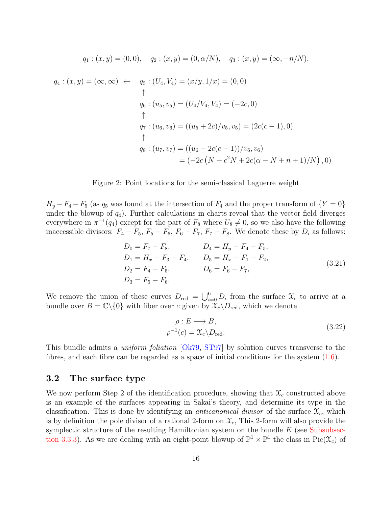$$
q_1
$$
:  $(x, y) = (0, 0),$   $q_2$ :  $(x, y) = (0, \alpha/N),$   $q_3$ :  $(x, y) = (\infty, -n/N),$ 

$$
q_4: (x, y) = (\infty, \infty) \leftarrow q_5: (U_4, V_4) = (x/y, 1/x) = (0, 0)
$$
  
\n
$$
\uparrow
$$
  
\n
$$
q_6: (u_5, v_5) = (U_4/V_4, V_4) = (-2c, 0)
$$
  
\n
$$
\uparrow
$$
  
\n
$$
q_7: (u_6, v_6) = ((u_5 + 2c)/v_5, v_5) = (2c(c - 1), 0)
$$
  
\n
$$
\uparrow
$$
  
\n
$$
q_8: (u_7, v_7) = ((u_6 - 2c(c - 1))/v_6, v_6)
$$
  
\n
$$
= (-2c(N + c^2N + 2c(\alpha - N + n + 1)/N), 0)
$$

#### <span id="page-15-0"></span>Figure 2: Point locations for the semi-classical Laguerre weight

 $H_y - F_4 - F_5$  (as  $q_5$  was found at the intersection of  $F_4$  and the proper transform of  $\{Y = 0\}$ under the blowup of  $q_4$ ). Further calculations in charts reveal that the vector field diverges everywhere in  $\pi^{-1}(q_4)$  except for the part of  $F_8$  where  $U_8 \neq 0$ , so we also have the following inaccessible divisors:  $F_4 - F_5$ ,  $F_5 - F_6$ ,  $F_6 - F_7$ ,  $F_7 - F_8$ . We denote these by  $D_i$  as follows:

<span id="page-15-1"></span>
$$
D_0 = F_7 - F_8,
$$
  
\n
$$
D_1 = H_x - F_3 - F_4,
$$
  
\n
$$
D_2 = F_4 - F_5,
$$
  
\n
$$
D_3 = F_5 - F_6.
$$
  
\n
$$
D_4 = H_y - F_4 - F_5,
$$
  
\n
$$
D_5 = H_x - F_1 - F_2,
$$
  
\n
$$
D_6 = F_6 - F_7,
$$
  
\n(3.21)

We remove the union of these curves  $D_{\text{red}} = \bigcup_{i=0}^{6} D_i$  from the surface  $\mathcal{X}_c$  to arrive at a bundle over  $B = \mathbb{C}\backslash\{0\}$  with fiber over c given by  $\mathcal{X}_c\backslash D_{\text{red}}$ , which we denote

$$
\rho: E \longrightarrow B,
$$
  
\n
$$
\rho^{-1}(c) = \mathfrak{X}_c \backslash D_{\text{red}}.
$$
\n(3.22)

This bundle admits a *uniform foliation* [\[Ok79,](#page-47-1) [ST97\]](#page-48-13) by solution curves transverse to the fibres, and each fibre can be regarded as a space of initial conditions for the system  $(1.6)$ .

## 3.2 The surface type

We now perform Step 2 of the identification procedure, showing that  $\mathcal{X}_c$  constructed above is an example of the surfaces appearing in Sakai's theory, and determine its type in the classification. This is done by identifying an *anticanonical divisor* of the surface  $\mathfrak{X}_c$ , which is by definition the pole divisor of a rational 2-form on  $\mathfrak{X}_c$ , This 2-form will also provide the symplectic structure of the resulting Hamiltonian system on the bundle  $E$  (see [Subsubsec](#page-21-0)[tion 3.3.3\)](#page-21-0). As we are dealing with an eight-point blowup of  $\mathbb{P}^1 \times \mathbb{P}^1$  the class in Pic( $\mathfrak{X}_c$ ) of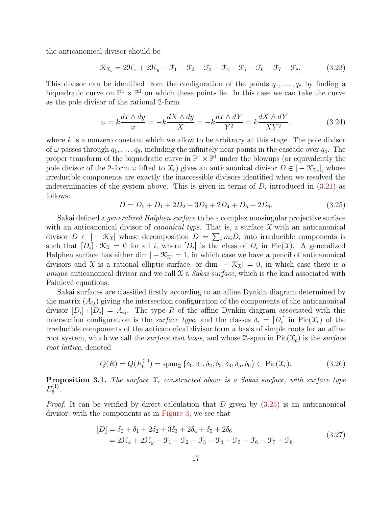the anticanonical divisor should be

$$
-\mathcal{K}_{\mathfrak{X}_c} = 2\mathcal{H}_x + 2\mathcal{H}_y - \mathcal{F}_1 - \mathcal{F}_2 - \mathcal{F}_3 - \mathcal{F}_4 - \mathcal{F}_5 - \mathcal{F}_6 - \mathcal{F}_7 - \mathcal{F}_8.
$$
 (3.23)

This divisor can be identified from the configuration of the points  $q_1, \ldots, q_8$  by finding a biquadratic curve on  $\mathbb{P}^1 \times \mathbb{P}^1$  on which these points lie. In this case we can take the curve as the pole divisor of the rational 2-form

<span id="page-16-1"></span>
$$
\omega = k \frac{dx \wedge dy}{x} = -k \frac{dX \wedge dy}{X} = -k \frac{dx \wedge dY}{Y^2} = k \frac{dX \wedge dY}{XY^2},
$$
(3.24)

where  $k$  is a nonzero constant which we allow to be arbitrary at this stage. The pole divisor of  $\omega$  passes through  $q_1, \ldots, q_8$ , including the infinitely near points in the cascade over  $q_4$ . The proper transform of the biquadratic curve in  $\mathbb{P}^1 \times \mathbb{P}^1$  under the blowups (or equivalently the pole divisor of the 2-form  $\omega$  lifted to  $\mathfrak{X}_c$ ) gives an anticanonical divisor  $D \in |- \mathfrak{X}_{\mathfrak{X}_c}|$ , whose irreducible components are exactly the inaccessible divisors identified when we resolved the indeterminacies of the system above. This is given in terms of  $D_i$  introduced in  $(3.21)$  as follows:

<span id="page-16-0"></span>
$$
D = D_0 + D_1 + 2D_2 + 3D_3 + 2D_4 + D_5 + 2D_6. \tag{3.25}
$$

Sakai defined a *generalized Halphen surface* to be a complex nonsingular projective surface with an anticanonical divisor of *canonical type*. That is, a surface  $\mathfrak X$  with an anticanonical divisor  $D \in \mathcal{L} \times \mathcal{L}$  whose decomposition  $D = \sum_i m_i D_i$  into irreducible components is such that  $[D_i] \cdot \mathcal{K}_{\mathfrak{X}} = 0$  for all i, where  $[D_i]$  is the class of  $D_i$  in Pic $(\mathfrak{X})$ . A generalized Halphen surface has either dim  $|-\mathcal{K}_x|=1$ , in which case we have a pencil of anticanonical divisors and X is a rational elliptic surface, or dim  $-\mathcal{K}_{\mathcal{X}}=0$ , in which case there is a unique anticanonical divisor and we call  $\mathfrak X$  a *Sakai surface*, which is the kind associated with Painlevé equations.

Sakai surfaces are classified firstly according to an affine Dynkin diagram determined by the matrix  $(A_{ij})$  giving the intersection configuration of the components of the anticanonical divisor  $[D_i] \cdot [D_j] = A_{ij}$ . The type R of the affine Dynkin diagram associated with this intersection configuration is the *surface type*, and the classes  $\delta_i = [D_i]$  in Pic $(\mathfrak{X}_c)$  of the irreducible components of the anticanonical divisor form a basis of simple roots for an affine root system, which we call the *surface root basis*, and whose  $\mathbb{Z}$ -span in Pic( $\mathfrak{X}_c$ ) is the *surface* root lattice, denoted

$$
Q(R) = Q(E_6^{(1)}) = \text{span}_{\mathbb{Z}} \{ \delta_0, \delta_1, \delta_2, \delta_3, \delta_4, \delta_5, \delta_6 \} \subset \text{Pic}(\mathfrak{X}_c). \tag{3.26}
$$

**Proposition 3.1.** The surface  $\mathfrak{X}_c$  constructed above is a Sakai surface, with surface type  $E_6^{(1)}$  $\binom{1}{0}$ .

*Proof.* It can be verified by direct calculation that D given by  $(3.25)$  is an anticanonical divisor; with the components as in [Figure 3,](#page-17-0) we see that

$$
[D] = \delta_0 + \delta_1 + 2\delta_2 + 3\delta_3 + 2\delta_4 + \delta_5 + 2\delta_6
$$
  
=  $2\mathfrak{K}_x + 2\mathfrak{K}_y - \mathfrak{F}_1 - \mathfrak{F}_2 - \mathfrak{F}_3 - \mathfrak{F}_4 - \mathfrak{F}_5 - \mathfrak{F}_6 - \mathfrak{F}_7 - \mathfrak{F}_8,$  (3.27)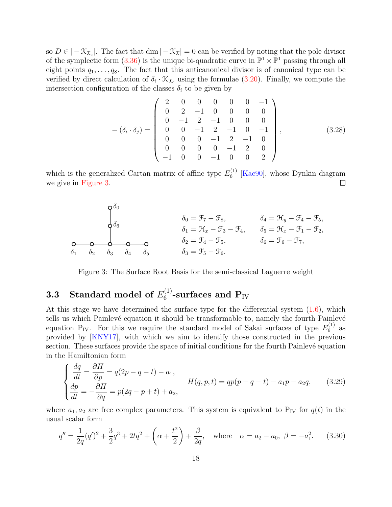so  $D \in |-X_{\mathfrak{X}_{c}}|$ . The fact that  $\dim |-X_{\mathfrak{X}}| = 0$  can be verified by noting that the pole divisor of the symplectic form [\(3.36\)](#page-20-0) is the unique bi-quadratic curve in  $\mathbb{P}^1 \times \mathbb{P}^1$  passing through all eight points  $q_1, \ldots, q_8$ . The fact that this anticanonical divisor is of canonical type can be verified by direct calculation of  $\delta_i \cdot \mathcal{K}_{\mathfrak{X}_c}$  using the formulae [\(3.20\)](#page-14-1). Finally, we compute the intersection configuration of the classes  $\delta_i$  to be given by

$$
-(\delta_i \cdot \delta_j) = \begin{pmatrix} 2 & 0 & 0 & 0 & 0 & 0 & -1 \\ 0 & 2 & -1 & 0 & 0 & 0 & 0 \\ 0 & -1 & 2 & -1 & 0 & 0 & 0 \\ 0 & 0 & -1 & 2 & -1 & 0 & -1 \\ 0 & 0 & 0 & -1 & 2 & -1 & 0 \\ 0 & 0 & 0 & 0 & -1 & 2 & 0 \\ -1 & 0 & 0 & -1 & 0 & 0 & 2 \end{pmatrix},
$$
(3.28)

which is the generalized Cartan matrix of affine type  $E_6^{(1)}$  $_{6}^{(1)}$  [\[Kac90\]](#page-47-14), whose Dynkin diagram we give in [Figure 3.](#page-17-0)  $\Box$ 

$$
\begin{aligned}\n\delta_0 &= \mathcal{F}_7 - \mathcal{F}_8, & \delta_4 &= \mathcal{H}_y - \mathcal{F}_4 - \mathcal{F}_5, \\
\delta_6 & \delta_1 &= \mathcal{H}_x - \mathcal{F}_3 - \mathcal{F}_4, & \delta_5 &= \mathcal{H}_x - \mathcal{F}_1 - \mathcal{F}_2, \\
\delta_1 & \delta_2 & \delta_3 & \delta_4 & \delta_5 & \delta_3 &= \mathcal{F}_5 - \mathcal{F}_6.\n\end{aligned}
$$

<span id="page-17-0"></span>Figure 3: The Surface Root Basis for the semi-classical Laguerre weight

#### 3.3 Standard model of  $E_6^{(1)}$  $^{(1)}_6$ -surfaces and  $\textbf{P}_{\text{IV}}$

At this stage we have determined the surface type for the differential system  $(1.6)$ , which tells us which Painlevé equation it should be transformable to, namely the fourth Painlevé equation P<sub>IV</sub>. For this we require the standard model of Sakai surfaces of type  $E_6^{(1)}$  $6^{(1)}$  as provided by [\[KNY17\]](#page-47-0), with which we aim to identify those constructed in the previous section. These surfaces provide the space of initial conditions for the fourth Painlevé equation in the Hamiltonian form

<span id="page-17-1"></span>
$$
\begin{cases}\n\frac{dq}{dt} = \frac{\partial H}{\partial p} = q(2p - q - t) - a_1, \\
\frac{dp}{dt} = -\frac{\partial H}{\partial q} = p(2q - p + t) + a_2, \\
\end{cases} \quad H(q, p, t) = qp(p - q - t) - a_1p - a_2q,\tag{3.29}
$$

where  $a_1, a_2$  are free complex parameters. This system is equivalent to P<sub>IV</sub> for  $q(t)$  in the usual scalar form

$$
q'' = \frac{1}{2q}(q')^2 + \frac{3}{2}q^3 + 2tq^2 + \left(\alpha + \frac{t^2}{2}\right) + \frac{\beta}{2q}, \quad \text{where} \quad \alpha = a_2 - a_0, \ \beta = -a_1^2. \tag{3.30}
$$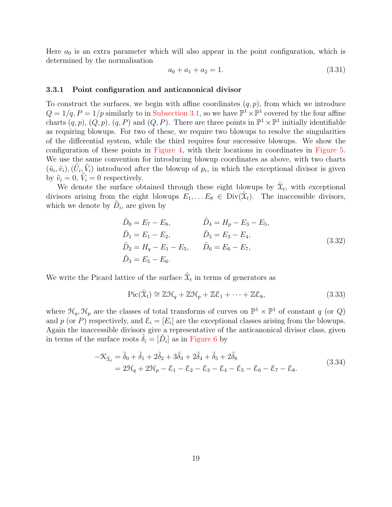Here  $a_0$  is an extra parameter which will also appear in the point configuration, which is determined by the normalisation

<span id="page-18-0"></span>
$$
a_0 + a_1 + a_2 = 1. \t\t(3.31)
$$

#### 3.3.1 Point configuration and anticanonical divisor

To construct the surfaces, we begin with affine coordinates  $(q, p)$ , from which we introduce  $Q = 1/q, P = 1/p$  similarly to in [Subsection 3.1,](#page-10-3) so we have  $\mathbb{P}^1 \times \mathbb{P}^1$  covered by the four affine charts  $(q, p)$ ,  $(Q, p)$ ,  $(q, P)$  and  $(Q, P)$ . There are three points in  $\mathbb{P}^1 \times \mathbb{P}^1$  initially identifiable as requiring blowups. For two of these, we require two blowups to resolve the singularities of the differential system, while the third requires four successive blowups. We show the configuration of these points in [Figure 4,](#page-19-0) with their locations in coordinates in [Figure 5.](#page-19-1) We use the same convention for introducing blowup coordinates as above, with two charts  $(\tilde{u}_i, \tilde{v}_i), (\tilde{U}_i, \tilde{V}_i)$  introduced after the blowup of  $p_i$ , in which the exceptional divisor is given by  $\tilde{v}_i = 0$ ,  $\tilde{V}_i = 0$  respectively.

We denote the surface obtained through these eight blowups by  $\tilde{\mathbf{x}}_t$ , with exceptional divisors arising from the eight blowups  $E_1, \ldots E_8 \in \text{Div}(\tilde{X}_t)$ . The inaccessible divisors, which we denote by  $\tilde{D}_i$ , are given by

<span id="page-18-1"></span>
$$
\tilde{D}_0 = E_7 - E_8, \n\tilde{D}_4 = H_p - E_3 - E_5, \n\tilde{D}_1 = E_1 - E_2, \n\tilde{D}_5 = E_3 - E_4, \n\tilde{D}_2 = H_q - E_1 - E_5, \n\tilde{D}_6 = E_6 - E_7, \n\tilde{D}_3 = E_5 - E_6.
$$
\n(3.32)

We write the Picard lattice of the surface  $\tilde{\mathbf{x}}_t$  in terms of generators as

$$
\operatorname{Pic}(\tilde{\mathfrak{X}}_t) \cong \mathbb{Z}\mathfrak{H}_q + \mathbb{Z}\mathfrak{H}_p + \mathbb{Z}\mathcal{E}_1 + \cdots + \mathbb{Z}\mathcal{E}_8,\tag{3.33}
$$

where  $\mathfrak{H}_q$ ,  $\mathfrak{H}_p$  are the classes of total transforms of curves on  $\mathbb{P}^1 \times \mathbb{P}^1$  of constant q (or Q) and p (or P) respectively, and  $\mathcal{E}_i = [E_i]$  are the exceptional classes arising from the blowups. Again the inaccessible divisors give a representative of the anticanonical divisor class, given in terms of the surface roots  $\tilde{\delta}_i = [\tilde{D}_i]$  as in [Figure 6](#page-19-2) by

$$
-\mathcal{K}_{\tilde{\mathcal{X}}_t} = \tilde{\delta}_0 + \tilde{\delta}_1 + 2\tilde{\delta}_2 + 3\tilde{\delta}_3 + 2\tilde{\delta}_4 + \tilde{\delta}_5 + 2\tilde{\delta}_6 = 2\mathcal{H}_q + 2\mathcal{H}_p - \mathcal{E}_1 - \mathcal{E}_2 - \mathcal{E}_3 - \mathcal{E}_4 - \mathcal{E}_5 - \mathcal{E}_6 - \mathcal{E}_7 - \mathcal{E}_8.
$$
\n(3.34)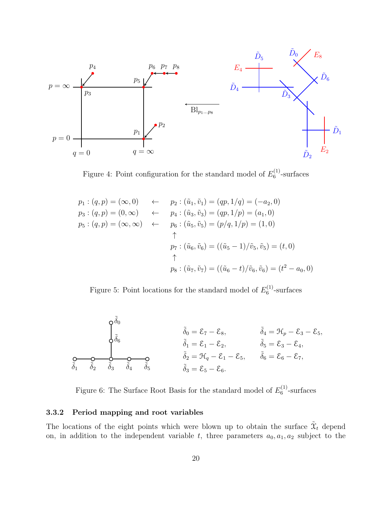

<span id="page-19-0"></span>Figure 4: Point configuration for the standard model of  $E_6^{(1)}$  $6^{(1)}$ -surfaces

$$
p_1: (q, p) = (\infty, 0) \leftarrow p_2: (\tilde{u}_1, \tilde{v}_1) = (qp, 1/q) = (-a_2, 0)
$$
  
\n
$$
p_3: (q, p) = (0, \infty) \leftarrow p_4: (\tilde{u}_3, \tilde{v}_3) = (qp, 1/p) = (a_1, 0)
$$
  
\n
$$
p_5: (q, p) = (\infty, \infty) \leftarrow p_6: (\tilde{u}_5, \tilde{v}_5) = (p/q, 1/p) = (1, 0)
$$
  
\n
$$
\uparrow
$$
  
\n
$$
p_7: (\tilde{u}_6, \tilde{v}_6) = ((\tilde{u}_5 - 1)/\tilde{v}_5, \tilde{v}_5) = (t, 0)
$$
  
\n
$$
\uparrow
$$
  
\n
$$
p_8: (\tilde{u}_7, \tilde{v}_7) = ((\tilde{u}_6 - t)/\tilde{v}_6, \tilde{v}_6) = (t^2 - a_0, 0)
$$

<span id="page-19-1"></span>Figure 5: Point locations for the standard model of  $E_6^{(1)}$  $6^{(1)}$ -surfaces

$$
\begin{aligned}\n\delta_0 &= \mathcal{E}_7 - \mathcal{E}_8, & \qquad \tilde{\delta}_4 &= \mathcal{H}_p - \mathcal{E}_3 - \mathcal{E}_5, \\
\delta_6 & \qquad \tilde{\delta}_1 &= \mathcal{E}_1 - \mathcal{E}_2, & \qquad \tilde{\delta}_5 &= \mathcal{E}_3 - \mathcal{E}_4, \\
\delta_1 & \qquad \tilde{\delta}_2 & \qquad \tilde{\delta}_3 & \qquad \tilde{\delta}_4 & = \mathcal{H}_p - \mathcal{E}_3 - \mathcal{E}_4, \\
\delta_1 & \qquad \tilde{\delta}_2 & \qquad \tilde{\delta}_3 & = \mathcal{E}_5 - \mathcal{E}_6.\n\end{aligned}
$$

<span id="page-19-2"></span>Figure 6: The Surface Root Basis for the standard model of  $E_6^{(1)}$  $6^{(1)}$ -surfaces

#### 3.3.2 Period mapping and root variables

The locations of the eight points which were blown up to obtain the surface  $\tilde{\chi}_t$  depend on, in addition to the independent variable t, three parameters  $a_0, a_1, a_2$  subject to the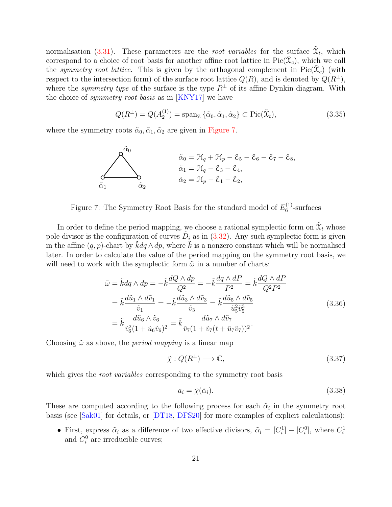normalisation [\(3.31\)](#page-18-0). These parameters are the *root variables* for the surface  $\tilde{\mathfrak{X}}_t$ , which correspond to a choice of root basis for another affine root lattice in  $Pic(\tilde{\mathfrak{X}}_c)$ , which we call the symmetry root lattice. This is given by the orthogonal complement in  $Pic(\tilde{\mathfrak{X}}_c)$  (with respect to the intersection form) of the surface root lattice  $Q(R)$ , and is denoted by  $Q(R^{\perp})$ , where the *symmetry type* of the surface is the type  $R^{\perp}$  of its affine Dynkin diagram. With the choice of *symmetry root basis* as in [\[KNY17\]](#page-47-0) we have

$$
Q(R^{\perp}) = Q(A_2^{(1)}) = \operatorname{span}_{\mathbb{Z}} \{ \tilde{\alpha}_0, \tilde{\alpha}_1, \tilde{\alpha}_2 \} \subset \operatorname{Pic}(\tilde{\mathfrak{X}}_t), \tag{3.35}
$$

where the symmetry roots  $\tilde{\alpha}_0, \tilde{\alpha}_1, \tilde{\alpha}_2$  are given in [Figure 7.](#page-20-1)



<span id="page-20-1"></span>Figure 7: The Symmetry Root Basis for the standard model of  $E_6^{(1)}$  $6^{(1)}$ -surfaces

In order to define the period mapping, we choose a rational symplectic form on  $\tilde{\mathbf{X}}_t$  whose pole divisor is the configuration of curves  $\tilde{D}_i$  as in [\(3.32\)](#page-18-1). Any such symplectic form is given in the affine  $(q, p)$ -chart by  $k dq \wedge dp$ , where  $\tilde{k}$  is a nonzero constant which will be normalised later. In order to calculate the value of the period mapping on the symmetry root basis, we will need to work with the symplectic form  $\tilde{\omega}$  in a number of charts:

<span id="page-20-0"></span>
$$
\tilde{\omega} = \tilde{k}dq \wedge dp = -\tilde{k}\frac{dQ \wedge dp}{Q^2} = -\tilde{k}\frac{dq \wedge dP}{P^2} = \tilde{k}\frac{dQ \wedge dP}{Q^2P^2}
$$
\n
$$
= \tilde{k}\frac{d\tilde{u}_1 \wedge d\tilde{v}_1}{\tilde{v}_1} = -\tilde{k}\frac{d\tilde{u}_3 \wedge d\tilde{v}_3}{\tilde{v}_3} = \tilde{k}\frac{d\tilde{u}_5 \wedge d\tilde{v}_5}{\tilde{u}_5^2\tilde{v}_5^3}
$$
\n
$$
= \tilde{k}\frac{d\tilde{u}_6 \wedge \tilde{v}_6}{\tilde{v}_6^2(1 + \tilde{u}_6\tilde{v}_6)^2} = \tilde{k}\frac{d\tilde{u}_7 \wedge d\tilde{v}_7}{\tilde{v}_7(1 + \tilde{v}_7(t + \tilde{u}_7\tilde{v}_7))^2}.
$$
\n(3.36)

Choosing  $\tilde{\omega}$  as above, the *period mapping* is a linear map

$$
\tilde{\chi}: Q(R^{\perp}) \longrightarrow \mathbb{C},\tag{3.37}
$$

which gives the *root variables* corresponding to the symmetry root basis

$$
a_i = \tilde{\chi}(\tilde{\alpha}_i). \tag{3.38}
$$

These are computed according to the following process for each  $\tilde{\alpha}_i$  in the symmetry root basis (see [\[Sak01\]](#page-48-2) for details, or [\[DT18,](#page-46-6) [DFS20\]](#page-46-2) for more examples of explicit calculations):

• First, express  $\tilde{\alpha}_i$  as a difference of two effective divisors,  $\tilde{\alpha}_i = [C_i^1] - [C_i^0]$ , where  $C_i^1$ and  $C_i^0$  are irreducible curves;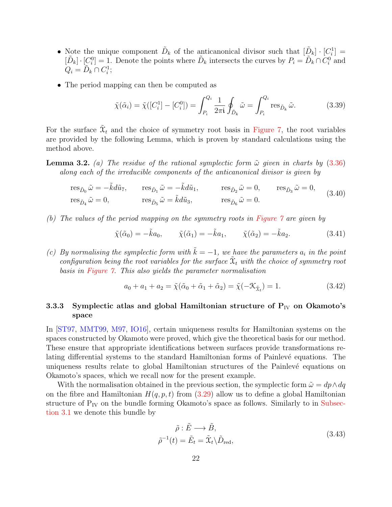- Note the unique component  $\tilde{D}_k$  of the anticanonical divisor such that  $[\tilde{D}_k] \cdot [C_i^1] =$  $[\tilde{D}_k] \cdot [C_i^0] = 1$ . Denote the points where  $\tilde{D}_k$  intersects the curves by  $P_i = \tilde{D}_k \cap C_i^0$  and  $Q_i = \tilde{D}_k \cap C_i^1;$
- The period mapping can then be computed as

$$
\tilde{\chi}(\tilde{\alpha}_i) = \tilde{\chi}([C_i^1] - [C_i^0]) = \int_{P_i}^{Q_i} \frac{1}{2\pi i} \oint_{\tilde{D}_k} \tilde{\omega} = \int_{P_i}^{Q_i} \text{res}_{\tilde{D}_k} \tilde{\omega}.
$$
\n(3.39)

For the surface  $\tilde{\mathfrak{X}}_t$  and the choice of symmetry root basis in [Figure 7,](#page-20-1) the root variables are provided by the following Lemma, which is proven by standard calculations using the method above.

- **Lemma 3.2.** (a) The residue of the rational symplectic form  $\tilde{\omega}$  given in charts by [\(3.36\)](#page-20-0) along each of the irreducible components of the anticanonical divisor is given by
	- $\text{res}_{\tilde{D}_0}\tilde{\omega} = -\tilde{k}d\tilde{u}_7, \quad \text{res}_{\tilde{D}_1}\tilde{\omega} = -\tilde{k}d\tilde{u}_1, \quad \text{res}_{\tilde{D}_2}\tilde{\omega} = 0, \quad \text{res}_{\tilde{D}_3}\tilde{\omega} = 0,$  $res_{\tilde{D}_4} \tilde{\omega} = 0,$   $res_{\tilde{D}_5} \tilde{\omega} = \tilde{k} d\tilde{u}_3,$   $res_{\tilde{D}_6} \tilde{\omega} = 0.$ (3.40)
- (b) The values of the period mapping on the symmetry roots in [Figure 7](#page-20-1) are given by

$$
\tilde{\chi}(\tilde{\alpha}_0) = -\tilde{k}a_0, \qquad \tilde{\chi}(\tilde{\alpha}_1) = -\tilde{k}a_1, \qquad \tilde{\chi}(\tilde{\alpha}_2) = -\tilde{k}a_2.
$$
\n(3.41)

(c) By normalising the symplectic form with  $\tilde{k} = -1$ , we have the parameters  $a_i$  in the point configuration being the root variables for the surface  $\tilde{\mathbf{x}}_t$  with the choice of symmetry root basis in [Figure 7.](#page-20-1) This also yields the parameter normalisation

$$
a_0 + a_1 + a_2 = \tilde{\chi}(\tilde{\alpha}_0 + \tilde{\alpha}_1 + \tilde{\alpha}_2) = \tilde{\chi}(-\mathcal{K}_{\tilde{\chi}_t}) = 1.
$$
 (3.42)

## <span id="page-21-0"></span>3.3.3 Symplectic atlas and global Hamiltonian structure of  $P_{IV}$  on Okamoto's space

In [\[ST97,](#page-48-13) [MMT99,](#page-47-11) [M97,](#page-47-12) [IO16\]](#page-47-13), certain uniqueness results for Hamiltonian systems on the spaces constructed by Okamoto were proved, which give the theoretical basis for our method. These ensure that appropriate identifications between surfaces provide transformations relating differential systems to the standard Hamiltonian forms of Painlevé equations. The uniqueness results relate to global Hamiltonian structures of the Painlev´e equations on Okamoto's spaces, which we recall now for the present example.

With the normalisation obtained in the previous section, the symplectic form  $\tilde{\omega} = dp \wedge dq$ on the fibre and Hamiltonian  $H(q, p, t)$  from  $(3.29)$  allow us to define a global Hamiltonian structure of  $P_{IV}$  on the bundle forming Okamoto's space as follows. Similarly to in [Subsec](#page-10-3)[tion 3.1](#page-10-3) we denote this bundle by

$$
\tilde{\rho}: \tilde{E} \longrightarrow \tilde{B},
$$
\n
$$
\tilde{\rho}^{-1}(t) = \tilde{E}_t = \tilde{\chi}_t \backslash \tilde{D}_{\text{red}},
$$
\n(3.43)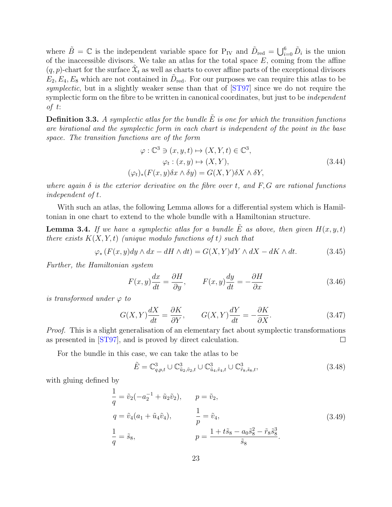where  $\tilde{B} = \mathbb{C}$  is the independent variable space for  $P_{IV}$  and  $\tilde{D}_{red} = \bigcup_{i=0}^{6} \tilde{D}_i$  is the union of the inaccessible divisors. We take an atlas for the total space  $E$ , coming from the affine  $(q, p)$ -chart for the surface  $\tilde{\mathfrak{X}}_t$  as well as charts to cover affine parts of the exceptional divisors  $E_2, E_4, E_8$  which are not contained in  $\tilde{D}_{\text{red}}$ . For our purposes we can require this atlas to be symplectic, but in a slightly weaker sense than that of  $ST97$  since we do not require the symplectic form on the fibre to be written in canonical coordinates, but just to be *independent* of  $t$ :

**Definition 3.3.** A symplectic atlas for the bundle  $\hat{E}$  is one for which the transition functions are birational and the symplectic form in each chart is independent of the point in the base space. The transition functions are of the form

$$
\varphi : \mathbb{C}^3 \ni (x, y, t) \mapsto (X, Y, t) \in \mathbb{C}^3, \n\varphi_t : (x, y) \mapsto (X, Y), \n(\varphi_t)_*(F(x, y)\delta x \wedge \delta y) = G(X, Y)\delta X \wedge \delta Y,
$$
\n(3.44)

where again  $\delta$  is the exterior derivative on the fibre over t, and F, G are rational functions independent of t.

With such an atlas, the following Lemma allows for a differential system which is Hamiltonian in one chart to extend to the whole bundle with a Hamiltonian structure.

<span id="page-22-0"></span>**Lemma 3.4.** If we have a symplectic atlas for a bundle  $\tilde{E}$  as above, then given  $H(x, y, t)$ there exists  $K(X, Y, t)$  (unique modulo functions of t) such that

$$
\varphi_*\left(F(x,y)dy \wedge dx - dH \wedge dt\right) = G(X,Y)dY \wedge dX - dK \wedge dt. \tag{3.45}
$$

Further, the Hamiltonian system

$$
F(x,y)\frac{dx}{dt} = \frac{\partial H}{\partial y}, \qquad F(x,y)\frac{dy}{dt} = -\frac{\partial H}{\partial x}
$$
(3.46)

is transformed under  $\varphi$  to

$$
G(X,Y)\frac{dX}{dt} = \frac{\partial K}{\partial Y}, \qquad G(X,Y)\frac{dY}{dt} = -\frac{\partial K}{\partial X}.
$$
 (3.47)

Proof. This is a slight generalisation of an elementary fact about symplectic transformations as presented in [\[ST97\]](#page-48-13), and is proved by direct calculation.  $\Box$ 

For the bundle in this case, we can take the atlas to be

$$
\tilde{E} = \mathbb{C}^3_{q,p,t} \cup \mathbb{C}^3_{\tilde{u}_2, \tilde{v}_2, t} \cup \mathbb{C}^3_{\tilde{u}_4, \tilde{v}_4, t} \cup \mathbb{C}^3_{\tilde{r}_8, \tilde{s}_8, t},
$$
\n(3.48)

with gluing defined by

$$
\frac{1}{q} = \tilde{v}_2(-a_2^{-1} + \tilde{u}_2 \tilde{v}_2), \qquad p = \tilde{v}_2,
$$
\n
$$
q = \tilde{v}_4(a_1 + \tilde{u}_4 \tilde{v}_4), \qquad \frac{1}{p} = \tilde{v}_4,
$$
\n
$$
\frac{1}{q} = \tilde{s}_8, \qquad p = \frac{1 + t\tilde{s}_8 - a_0\tilde{s}_8^2 - \tilde{r}_8\tilde{s}_8^3}{\tilde{s}_8}.
$$
\n(3.49)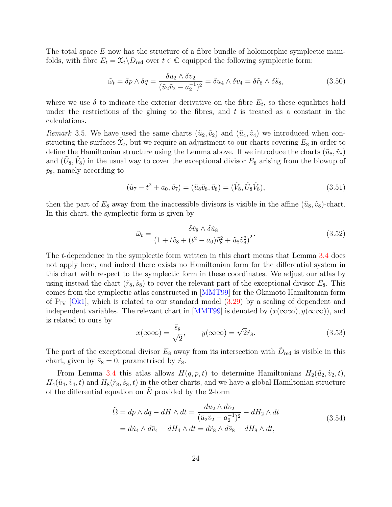The total space  $E$  now has the structure of a fibre bundle of holomorphic symplectic manifolds, with fibre  $E_t = \mathfrak{X}_t \backslash D_{\text{red}}$  over  $t \in \mathbb{C}$  equipped the following symplectic form:

$$
\tilde{\omega}_t = \delta p \wedge \delta q = \frac{\delta u_2 \wedge \delta v_2}{(\tilde{u}_2 \tilde{v}_2 - a_2^{-1})^2} = \delta u_4 \wedge \delta v_4 = \delta \tilde{r}_8 \wedge \delta \tilde{s}_8,\tag{3.50}
$$

where we use  $\delta$  to indicate the exterior derivative on the fibre  $E_t$ , so these equalities hold under the restrictions of the gluing to the fibres, and  $t$  is treated as a constant in the calculations.

Remark 3.5. We have used the same charts  $(\tilde{u}_2, \tilde{v}_2)$  and  $(\tilde{u}_4, \tilde{v}_4)$  we introduced when constructing the surfaces  $\tilde{\mathbf{x}}_t$ , but we require an adjustment to our charts covering  $E_8$  in order to define the Hamiltonian structure using the Lemma above. If we introduce the charts  $(\tilde{u}_8, \tilde{v}_8)$ and  $(\tilde{U}_8, \tilde{V}_8)$  in the usual way to cover the exceptional divisor  $E_8$  arising from the blowup of  $p_8$ , namely according to

$$
(\tilde{u}_7 - t^2 + a_0, \tilde{v}_7) = (\tilde{u}_8 \tilde{v}_8, \tilde{v}_8) = (\tilde{V}_8, \tilde{U}_8 \tilde{V}_8),
$$
\n(3.51)

then the part of  $E_8$  away from the inaccessible divisors is visible in the affine  $(\tilde{u}_8, \tilde{v}_8)$ -chart. In this chart, the symplectic form is given by

$$
\tilde{\omega}_t = \frac{\delta \tilde{v}_8 \wedge \delta \tilde{u}_8}{\left(1 + t\tilde{v}_8 + (t^2 - a_0)\tilde{v}_8^2 + \tilde{u}_8 \tilde{v}_8^2\right)^2}.
$$
\n(3.52)

The t-dependence in the symplectic form written in this chart means that Lemma [3.4](#page-22-0) does not apply here, and indeed there exists no Hamiltonian form for the differential system in this chart with respect to the symplectic form in these coordinates. We adjust our atlas by using instead the chart  $(\tilde{r}_8, \tilde{s}_8)$  to cover the relevant part of the exceptional divisor  $E_8$ . This comes from the symplectic atlas constructed in [\[MMT99\]](#page-47-11) for the Okamoto Hamiltonian form of  $P_{IV}$  [\[Ok1\]](#page-47-8), which is related to our standard model [\(3.29\)](#page-17-1) by a scaling of dependent and independent variables. The relevant chart in [\[MMT99\]](#page-47-11) is denoted by  $(x(\infty\infty), y(\infty\infty))$ , and is related to ours by

$$
x(\infty \infty) = \frac{\tilde{s}_8}{\sqrt{2}}, \qquad y(\infty \infty) = \sqrt{2}\tilde{r}_8.
$$
 (3.53)

The part of the exceptional divisor  $E_8$  away from its intersection with  $\tilde{D}_{red}$  is visible in this chart, given by  $\tilde{s}_8 = 0$ , parametrised by  $\tilde{r}_8$ .

From Lemma [3.4](#page-22-0) this atlas allows  $H(q, p, t)$  to determine Hamiltonians  $H_2(\tilde{u}_2, \tilde{v}_2, t)$ ,  $H_4(\tilde{u}_4, \tilde{v}_4, t)$  and  $H_8(\tilde{r}_8, \tilde{s}_8, t)$  in the other charts, and we have a global Hamiltonian structure of the differential equation on  $E$  provided by the 2-form

$$
\tilde{\Omega} = dp \wedge dq - dH \wedge dt = \frac{du_2 \wedge dv_2}{(\tilde{u}_2 \tilde{v}_2 - a_2^{-1})^2} - dH_2 \wedge dt
$$
\n
$$
= d\tilde{u}_4 \wedge d\tilde{v}_4 - dH_4 \wedge dt = d\tilde{r}_8 \wedge d\tilde{s}_8 - dH_8 \wedge dt,
$$
\n(3.54)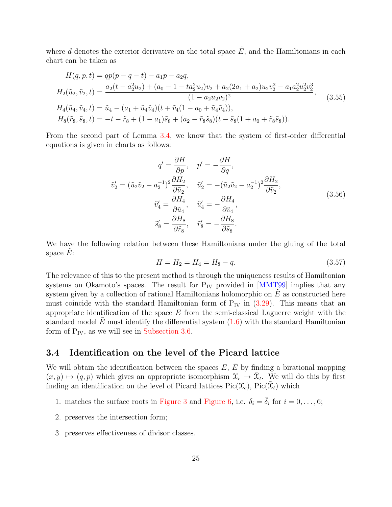where d denotes the exterior derivative on the total space  $\tilde{E}$ , and the Hamiltonians in each chart can be taken as

$$
H(q, p, t) = qp(p - q - t) - a_1p - a_2q,
$$
  
\n
$$
H_2(\tilde{u}_2, \tilde{v}_2, t) = \frac{a_2(t - a_2^2u_2) + (a_0 - 1 - ta_2^2u_2)v_2 + a_2(2a_1 + a_2)u_2v_2^2 - a_1a_2^2u_2^2v_2^3}{(1 - a_2u_2v_2)^2},
$$
  
\n
$$
H_4(\tilde{u}_4, \tilde{v}_4, t) = \tilde{u}_4 - (a_1 + \tilde{u}_4\tilde{v}_4)(t + \tilde{v}_4(1 - a_0 + \tilde{u}_4\tilde{v}_4)),
$$
  
\n
$$
H_8(\tilde{r}_8, \tilde{s}_8, t) = -t - \tilde{r}_8 + (1 - a_1)\tilde{s}_8 + (a_2 - \tilde{r}_8\tilde{s}_8)(t - \tilde{s}_8(1 + a_0 + \tilde{r}_8\tilde{s}_8)).
$$
\n(3.55)

From the second part of Lemma [3.4,](#page-22-0) we know that the system of first-order differential equations is given in charts as follows:

$$
q' = \frac{\partial H}{\partial p}, \quad p' = -\frac{\partial H}{\partial q},
$$
  

$$
\tilde{v}'_2 = (\tilde{u}_2 \tilde{v}_2 - a_2^{-1})^2 \frac{\partial H_2}{\partial \tilde{u}_2}, \quad \tilde{u}'_2 = -(\tilde{u}_2 \tilde{v}_2 - a_2^{-1})^2 \frac{\partial H_2}{\partial \tilde{v}_2},
$$
  

$$
\tilde{v}'_4 = \frac{\partial H_4}{\partial \tilde{u}_4}, \quad \tilde{u}'_4 = -\frac{\partial H_4}{\partial \tilde{v}_4},
$$
  

$$
\tilde{s}'_8 = \frac{\partial H_8}{\partial \tilde{r}_8}, \quad \tilde{r}'_8 = -\frac{\partial H_8}{\partial \tilde{s}_8}.
$$
 (3.56)

We have the following relation between these Hamiltonians under the gluing of the total space  $E$ :

$$
H = H_2 = H_4 = H_8 - q.
$$
\n(3.57)

The relevance of this to the present method is through the uniqueness results of Hamiltonian systems on Okamoto's spaces. The result for  $P_{IV}$  provided in [\[MMT99\]](#page-47-11) implies that any system given by a collection of rational Hamiltonians holomorphic on  $E$  as constructed here must coincide with the standard Hamiltonian form of  $P_{IV}$  in [\(3.29\)](#page-17-1). This means that an appropriate identification of the space  $E$  from the semi-classical Laguerre weight with the standard model  $E$  must identify the differential system  $(1.6)$  with the standard Hamiltonian form of  $P_{IV}$ , as we will see in [Subsection 3.6.](#page-31-1)

## 3.4 Identification on the level of the Picard lattice

We will obtain the identification between the spaces  $E, \tilde{E}$  by finding a birational mapping  $(x, y) \mapsto (q, p)$  which gives an appropriate isomorphism  $\mathcal{X}_c \to \tilde{\mathcal{X}}_t$ . We will do this by first finding an identification on the level of Picard lattices  $Pic(\mathfrak{X}_c)$ ,  $Pic(\mathfrak{X}_t)$  which

- 1. matches the surface roots in [Figure 3](#page-17-0) and [Figure 6,](#page-19-2) i.e.  $\delta_i = \tilde{\delta}_i$  for  $i = 0, \ldots, 6;$
- 2. preserves the intersection form;
- 3. preserves effectiveness of divisor classes.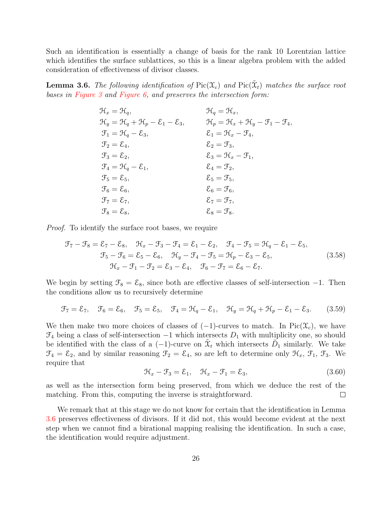Such an identification is essentially a change of basis for the rank 10 Lorentzian lattice which identifies the surface sublattices, so this is a linear algebra problem with the added consideration of effectiveness of divisor classes.

<span id="page-25-0"></span>**Lemma 3.6.** The following identification of  $Pic(\mathfrak{X}_c)$  and  $Pic(\tilde{\mathfrak{X}}_t)$  matches the surface root bases in [Figure 3](#page-17-0) and [Figure 6,](#page-19-2) and preserves the intersection form:

| $\mathfrak{H}_x=\mathfrak{H}_a,$                                                 | $\mathfrak{H}_q = \mathfrak{H}_x,$                                               |
|----------------------------------------------------------------------------------|----------------------------------------------------------------------------------|
| $\mathcal{H}_y = \mathcal{H}_q + \mathcal{H}_p - \mathcal{E}_1 - \mathcal{E}_3,$ | $\mathcal{H}_p = \mathcal{H}_x + \mathcal{H}_y - \mathcal{F}_1 - \mathcal{F}_4,$ |
| $\mathfrak{F}_1 = \mathfrak{H}_q - \mathfrak{E}_3,$                              | $\mathcal{E}_1 = \mathcal{H}_x - \mathcal{F}_4,$                                 |
| $\mathfrak{F}_2 = \mathfrak{E}_4,$                                               | ${\mathcal E}_2={\mathcal F}_3,$                                                 |
| $\mathfrak{F}_3 = \mathfrak{E}_2,$                                               | $\mathcal{E}_3 = \mathcal{H}_x - \mathcal{F}_1,$                                 |
| $\mathfrak{F}_4 = \mathfrak{H}_q - \mathfrak{E}_1,$                              | ${\mathcal{E}}_4={\mathcal{F}}_2,$                                               |
| $\mathfrak{F}_5 = \mathfrak{E}_5,$                                               | ${\mathcal{E}}_5={\mathcal{F}}_5,$                                               |
| $\mathfrak{F}_6 = \mathfrak{E}_6,$                                               | ${\mathcal{E}}_6={\mathcal{F}}_6,$                                               |
| $\mathfrak{F}_7 = \mathfrak{E}_7$ ,                                              | ${\mathcal{E}}_7={\mathcal{F}}_7,$                                               |
| $\mathfrak{F}_8 = \mathfrak{E}_8,$                                               | $\mathcal{E}_8 = \mathcal{F}_8.$                                                 |

Proof. To identify the surface root bases, we require

$$
\mathcal{F}_7 - \mathcal{F}_8 = \mathcal{E}_7 - \mathcal{E}_8, \quad \mathcal{H}_x - \mathcal{F}_3 - \mathcal{F}_4 = \mathcal{E}_1 - \mathcal{E}_2, \quad \mathcal{F}_4 - \mathcal{F}_5 = \mathcal{H}_q - \mathcal{E}_1 - \mathcal{E}_5, \n\mathcal{F}_5 - \mathcal{F}_6 = \mathcal{E}_5 - \mathcal{E}_6, \quad \mathcal{H}_y - \mathcal{F}_4 - \mathcal{F}_5 = \mathcal{H}_p - \mathcal{E}_3 - \mathcal{E}_5, \n\mathcal{H}_x - \mathcal{F}_1 - \mathcal{F}_2 = \mathcal{E}_3 - \mathcal{E}_4, \quad \mathcal{F}_6 - \mathcal{F}_7 = \mathcal{E}_6 - \mathcal{E}_7.
$$
\n(3.58)

We begin by setting  $\mathcal{F}_8 = \mathcal{E}_8$ , since both are effective classes of self-intersection -1. Then the conditions allow us to recursively determine

$$
\mathcal{F}_7 = \mathcal{E}_7, \quad \mathcal{F}_6 = \mathcal{E}_6, \quad \mathcal{F}_5 = \mathcal{E}_5, \quad \mathcal{F}_4 = \mathcal{H}_q - \mathcal{E}_1, \quad \mathcal{H}_y = \mathcal{H}_q + \mathcal{H}_p - \mathcal{E}_1 - \mathcal{E}_3. \tag{3.59}
$$

We then make two more choices of classes of  $(-1)$ -curves to match. In Pic $(\mathfrak{X}_c)$ , we have  $\mathcal{F}_4$  being a class of self-intersection  $-1$  which intersects  $D_1$  with multiplicity one, so should be identified with the class of a  $(-1)$ -curve on  $\tilde{\mathfrak{X}}_t$  which intersects  $\tilde{D}_1$  similarly. We take  $\mathcal{F}_4 = \mathcal{E}_2$ , and by similar reasoning  $\mathcal{F}_2 = \mathcal{E}_4$ , so are left to determine only  $\mathcal{H}_x$ ,  $\mathcal{F}_1$ ,  $\mathcal{F}_3$ . We require that

$$
\mathcal{H}_x - \mathcal{F}_3 = \mathcal{E}_1, \quad \mathcal{H}_x - \mathcal{F}_1 = \mathcal{E}_3,\tag{3.60}
$$

as well as the intersection form being preserved, from which we deduce the rest of the matching. From this, computing the inverse is straightforward.  $\Box$ 

We remark that at this stage we do not know for certain that the identification in Lemma [3.6](#page-25-0) preserves effectiveness of divisors. If it did not, this would become evident at the next step when we cannot find a birational mapping realising the identification. In such a case, the identification would require adjustment.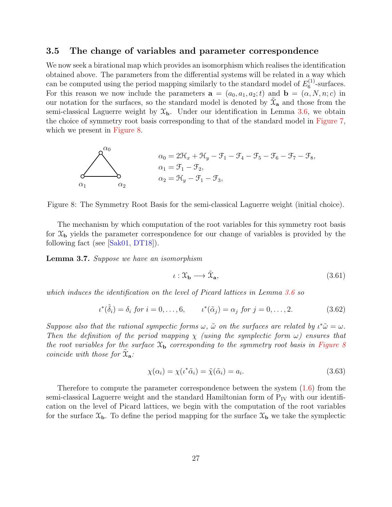## 3.5 The change of variables and parameter correspondence

We now seek a birational map which provides an isomorphism which realises the identification obtained above. The parameters from the differential systems will be related in a way which can be computed using the period mapping similarly to the standard model of  $E_6^{(1)}$  $6^{(1)}$ -surfaces. For this reason we now include the parameters  $\mathbf{a} = (a_0, a_1, a_2; t)$  and  $\mathbf{b} = (\alpha, N, n; c)$  in our notation for the surfaces, so the standard model is denoted by  $\tilde{\mathfrak{X}}_a$  and those from the semi-classical Laguerre weight by  $\mathfrak{X}_{\mathbf{b}}$ . Under our identification in Lemma [3.6,](#page-25-0) we obtain the choice of symmetry root basis corresponding to that of the standard model in [Figure 7,](#page-20-1) which we present in [Figure 8.](#page-26-0)



<span id="page-26-0"></span>Figure 8: The Symmetry Root Basis for the semi-classical Laguerre weight (initial choice).

The mechanism by which computation of the root variables for this symmetry root basis for  $\mathfrak{X}_{\mathbf{b}}$  yields the parameter correspondence for our change of variables is provided by the following fact (see [\[Sak01,](#page-48-2) [DT18\]](#page-46-6)).

Lemma 3.7. Suppose we have an isomorphism

$$
\iota: \mathfrak{X}_{\mathbf{b}} \longrightarrow \tilde{\mathfrak{X}}_{\mathbf{a}},\tag{3.61}
$$

which induces the identification on the level of Picard lattices in Lemma [3.6](#page-25-0) so

$$
\iota^*(\tilde{\delta}_i) = \delta_i \text{ for } i = 0, \dots, 6, \qquad \iota^*(\tilde{\alpha}_j) = \alpha_j \text{ for } j = 0, \dots, 2.
$$
 (3.62)

Suppose also that the rational sympectic forms  $\omega$ ,  $\tilde{\omega}$  on the surfaces are related by  $\iota^*\tilde{\omega} = \omega$ . Then the definition of the period mapping  $\chi$  (using the symplectic form  $\omega$ ) ensures that the root variables for the surface  $\mathfrak{X}_b$  corresponding to the symmetry root basis in [Figure 8](#page-26-0) coincide with those for  $\tilde{\mathbf{X}}_{\mathbf{a}}$ :

$$
\chi(\alpha_i) = \chi(\iota^* \tilde{\alpha}_i) = \tilde{\chi}(\tilde{\alpha}_i) = a_i.
$$
\n(3.63)

Therefore to compute the parameter correspondence between the system [\(1.6\)](#page-4-1) from the semi-classical Laguerre weight and the standard Hamiltonian form of  $P_{IV}$  with our identification on the level of Picard lattices, we begin with the computation of the root variables for the surface  $\mathfrak{X}_{\mathbf{b}}$ . To define the period mapping for the surface  $\mathfrak{X}_{\mathbf{b}}$  we take the symplectic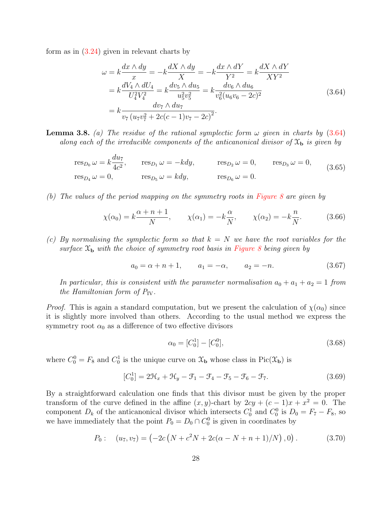form as in  $(3.24)$  given in relevant charts by

<span id="page-27-0"></span>
$$
\omega = k \frac{dx \wedge dy}{x} = -k \frac{dX \wedge dy}{X} = -k \frac{dx \wedge dY}{Y^2} = k \frac{dX \wedge dY}{XY^2}
$$

$$
= k \frac{dV_4 \wedge dU_4}{U_4^2 V_4^2} = k \frac{dv_5 \wedge du_5}{u_5^2 v_5^2} = k \frac{dv_6 \wedge du_6}{v_6^2 (u_6 v_6 - 2c)^2}
$$
(3.64)
$$
= k \frac{dv_7 \wedge du_7}{v_7 (u_7 v_7^2 + 2c(c - 1)v_7 - 2c)^2}.
$$

**Lemma 3.8.** (a) The residue of the rational symplectic form  $\omega$  given in charts by [\(3.64\)](#page-27-0) along each of the irreducible components of the anticanonical divisor of  $\mathfrak{X}_{\mathbf{b}}$  is given by

$$
\text{res}_{D_0} \omega = k \frac{du_7}{4c^2}, \qquad \text{res}_{D_1} \omega = -k dy, \qquad \text{res}_{D_2} \omega = 0, \qquad \text{res}_{D_3} \omega = 0, \n\text{res}_{D_4} \omega = 0, \qquad \text{res}_{D_5} \omega = k dy, \qquad \text{res}_{D_6} \omega = 0.
$$
\n(3.65)

(b) The values of the period mapping on the symmetry roots in [Figure 8](#page-26-0) are given by

$$
\chi(\alpha_0) = k \frac{\alpha + n + 1}{N}, \qquad \chi(\alpha_1) = -k \frac{\alpha}{N}, \qquad \chi(\alpha_2) = -k \frac{n}{N}.
$$
 (3.66)

(c) By normalising the symplectic form so that  $k = N$  we have the root variables for the surface  $\mathfrak{X}_{\mathbf{b}}$  with the choice of symmetry root basis in [Figure 8](#page-26-0) being given by

$$
a_0 = \alpha + n + 1, \qquad a_1 = -\alpha, \qquad a_2 = -n. \tag{3.67}
$$

In particular, this is consistent with the parameter normalisation  $a_0 + a_1 + a_2 = 1$  from the Hamiltonian form of  $P_{IV}$ .

*Proof.* This is again a standard computation, but we present the calculation of  $\chi(\alpha_0)$  since it is slightly more involved than others. According to the usual method we express the symmetry root  $\alpha_0$  as a difference of two effective divisors

$$
\alpha_0 = [C_0^1] - [C_0^0],\tag{3.68}
$$

where  $C_0^0 = F_8$  and  $C_0^1$  is the unique curve on  $\mathfrak{X}_b$  whose class in Pic( $\mathfrak{X}_b$ ) is

$$
[C_0^1] = 2\mathcal{H}_x + \mathcal{H}_y - \mathcal{F}_1 - \mathcal{F}_4 - \mathcal{F}_5 - \mathcal{F}_6 - \mathcal{F}_7. \tag{3.69}
$$

By a straightforward calculation one finds that this divisor must be given by the proper transform of the curve defined in the affine  $(x, y)$ -chart by  $2cy + (c - 1)x + x^2 = 0$ . The component  $D_k$  of the anticanonical divisor which intersects  $C_0^1$  and  $C_0^0$  is  $D_0 = F_7 - F_8$ , so we have immediately that the point  $P_0 = D_0 \cap C_0^0$  is given in coordinates by

$$
P_0: (u_7, v_7) = \left(-2c\left(N + c^2N + 2c(\alpha - N + n + 1)/N\right), 0\right). \tag{3.70}
$$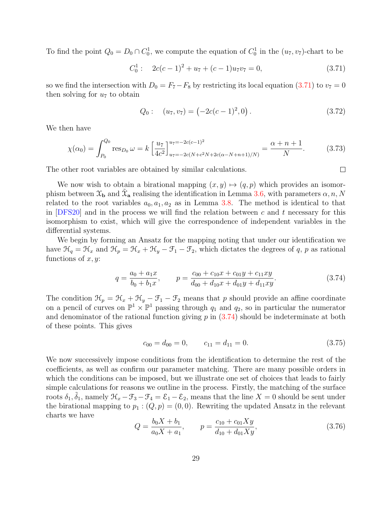To find the point  $Q_0 = D_0 \cap C_0^1$ , we compute the equation of  $C_0^1$  in the  $(u_7, v_7)$ -chart to be

<span id="page-28-0"></span>
$$
C_0^1: \quad 2c(c-1)^2 + u_7 + (c-1)u_7v_7 = 0,\tag{3.71}
$$

so we find the intersection with  $D_0 = F_7 - F_8$  by restricting its local equation [\(3.71\)](#page-28-0) to  $v_7 = 0$ then solving for  $u_7$  to obtain

$$
Q_0: (u_7, v_7) = \left(-2c(c-1)^2, 0\right). \tag{3.72}
$$

 $\Box$ 

We then have

$$
\chi(\alpha_0) = \int_{P_0}^{Q_0} \text{res}_{D_0} \,\omega = k \left[ \frac{u_7}{4c^2} \right]_{u_7 = -2c(N+c^2N+2c(\alpha-N+n+1)/N)}^{u_7 = -2c(c-1)^2} = \frac{\alpha+n+1}{N}.
$$
 (3.73)

The other root variables are obtained by similar calculations.

We now wish to obtain a birational mapping  $(x, y) \mapsto (q, p)$  which provides an isomorphism between  $\mathfrak{X}_{\mathbf{b}}$  and  $\mathfrak{X}_{\mathbf{a}}$  realising the identification in Lemma [3.6,](#page-25-0) with parameters  $\alpha, n, N$ related to the root variables  $a_0, a_1, a_2$  as in Lemma [3.8.](#page-0-0) The method is identical to that in  $[DFS20]$  and in the process we will find the relation between c and t necessary for this isomorphism to exist, which will give the correspondence of independent variables in the differential systems.

We begin by forming an Ansatz for the mapping noting that under our identification we have  $\mathcal{H}_q = \mathcal{H}_x$  and  $\mathcal{H}_p = \mathcal{H}_x + \mathcal{H}_y - \mathcal{F}_1 - \mathcal{F}_2$ , which dictates the degrees of q, p as rational functions of  $x, y$ :

<span id="page-28-1"></span>
$$
q = \frac{a_0 + a_1 x}{b_0 + b_1 x}, \qquad p = \frac{c_{00} + c_{10} x + c_{01} y + c_{11} x y}{d_{00} + d_{10} x + d_{01} y + d_{11} x y}.
$$
(3.74)

The condition  $\mathcal{H}_p = \mathcal{H}_x + \mathcal{H}_y - \mathcal{F}_1 - \mathcal{F}_2$  means that p should provide an affine coordinate on a pencil of curves on  $\mathbb{P}^1 \times \mathbb{P}^1$  passing through  $q_1$  and  $q_2$ , so in particular the numerator and denominator of the rational function giving  $p$  in  $(3.74)$  should be indeterminate at both of these points. This gives

$$
c_{00} = d_{00} = 0, \qquad c_{11} = d_{11} = 0. \tag{3.75}
$$

We now successively impose conditions from the identification to determine the rest of the coefficients, as well as confirm our parameter matching. There are many possible orders in which the conditions can be imposed, but we illustrate one set of choices that leads to fairly simple calculations for reasons we outline in the process. Firstly, the matching of the surface roots  $\delta_1, \tilde{\delta}_1$ , namely  $\mathcal{H}_x - \mathcal{F}_3 - \mathcal{F}_4 = \mathcal{E}_1 - \mathcal{E}_2$ , means that the line  $X = 0$  should be sent under the birational mapping to  $p_1$ :  $(Q, p) = (0, 0)$ . Rewriting the updated Ansatz in the relevant charts we have

$$
Q = \frac{b_0 X + b_1}{a_0 X + a_1}, \qquad p = \frac{c_{10} + c_{01} X y}{d_{10} + d_{01} X y},
$$
\n(3.76)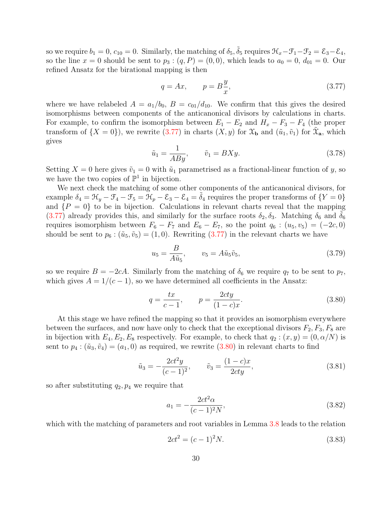so we require  $b_1 = 0$ ,  $c_{10} = 0$ . Similarly, the matching of  $\delta_5$ ,  $\tilde{\delta}_5$  requires  $\mathcal{H}_x - \mathcal{F}_1 - \mathcal{F}_2 = \mathcal{E}_3 - \mathcal{E}_4$ , so the line  $x = 0$  should be sent to  $p_3$ :  $(q, P) = (0, 0)$ , which leads to  $a_0 = 0$ ,  $d_{01} = 0$ . Our refined Ansatz for the birational mapping is then

<span id="page-29-0"></span>
$$
q = Ax, \qquad p = B\frac{y}{x}, \tag{3.77}
$$

where we have relabeled  $A = a_1/b_0$ ,  $B = c_{01}/d_{10}$ . We confirm that this gives the desired isomorphisms between components of the anticanonical divisors by calculations in charts. For example, to confirm the isomorphism between  $E_1 - E_2$  and  $H_x - F_3 - F_4$  (the proper transform of  $\{X=0\}$ , we rewrite [\(3.77\)](#page-29-0) in charts  $(X, y)$  for  $\mathfrak{X}_{\mathbf{b}}$  and  $(\tilde{u}_1, \tilde{v}_1)$  for  $\tilde{\mathfrak{X}}_{\mathbf{a}}$ , which gives

$$
\tilde{u}_1 = \frac{1}{ABy}, \qquad \tilde{v}_1 = BXy. \tag{3.78}
$$

Setting  $X = 0$  here gives  $\tilde{v}_1 = 0$  with  $\tilde{u}_1$  parametrised as a fractional-linear function of y, so we have the two copies of  $\mathbb{P}^1$  in bijection.

We next check the matching of some other components of the anticanonical divisors, for example  $\delta_4 = \mathfrak{H}_y - \mathfrak{F}_4 - \mathfrak{F}_5 = \mathfrak{H}_p - \mathfrak{E}_3 - \mathfrak{E}_4 = \delta_4$  requires the proper transforms of  $\{Y = 0\}$ and  $\{P = 0\}$  to be in bijection. Calculations in relevant charts reveal that the mapping [\(3.77\)](#page-29-0) already provides this, and similarly for the surface roots  $\delta_2, \delta_3$ . Matching  $\delta_6$  and  $\delta_6$ requires isomorphism between  $F_6 - F_7$  and  $E_6 - E_7$ , so the point  $q_6 : (u_5, v_5) = (-2c, 0)$ should be sent to  $p_6$ :  $(\tilde{u}_5, \tilde{v}_5) = (1, 0)$ . Rewriting  $(3.77)$  in the relevant charts we have

$$
u_5 = \frac{B}{A\tilde{u}_5}, \qquad v_5 = A\tilde{u}_5\tilde{v}_5,\tag{3.79}
$$

so we require  $B = -2cA$ . Similarly from the matching of  $\delta_6$  we require  $q_7$  to be sent to  $p_7$ , which gives  $A = 1/(c-1)$ , so we have determined all coefficients in the Ansatz:

<span id="page-29-1"></span>
$$
q = \frac{tx}{c-1}, \qquad p = \frac{2cty}{(1-c)x}.
$$
\n
$$
(3.80)
$$

At this stage we have refined the mapping so that it provides an isomorphism everywhere between the surfaces, and now have only to check that the exceptional divisors  $F_2, F_3, F_8$  are in bijection with  $E_4, E_2, E_8$  respectively. For example, to check that  $q_2 : (x, y) = (0, \alpha/N)$  is sent to  $p_4$ :  $(\tilde{u}_3, \tilde{v}_4) = (a_1, 0)$  as required, we rewrite  $(3.80)$  in relevant charts to find

$$
\tilde{u}_3 = -\frac{2ct^2y}{(c-1)^2}, \qquad \tilde{v}_3 = \frac{(1-c)x}{2cty}, \tag{3.81}
$$

so after substituting  $q_2, p_4$  we require that

$$
a_1 = -\frac{2ct^2\alpha}{(c-1)^2N},\tag{3.82}
$$

which with the matching of parameters and root variables in Lemma [3.8](#page-0-0) leads to the relation

<span id="page-29-2"></span>
$$
2ct^2 = (c-1)^2 N.
$$
\n(3.83)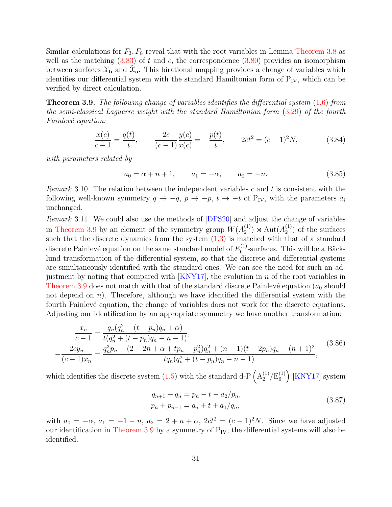Similar calculations for  $F_3, F_8$  reveal that with the root variables in Lemma [Theorem 3.8](#page-0-0) as well as the matching  $(3.83)$  of t and c, the correspondence  $(3.80)$  provides an isomorphism between surfaces  $\mathfrak{X}_{\mathbf{b}}$  and  $\widetilde{\mathfrak{X}}_{\mathbf{a}}$ . This birational mapping provides a change of variables which identifies our differential system with the standard Hamiltonian form of  $P_{IV}$ , which can be verified by direct calculation.

<span id="page-30-0"></span>Theorem 3.9. The following change of variables identifies the differential system [\(1.6\)](#page-4-1) from the semi-classical Laguerre weight with the standard Hamiltonian form [\(3.29\)](#page-17-1) of the fourth Painlevé equation:

$$
\frac{x(c)}{c-1} = \frac{q(t)}{t}, \qquad \frac{2c}{(c-1)}\frac{y(c)}{x(c)} = -\frac{p(t)}{t}, \qquad 2ct^2 = (c-1)^2 N,\tag{3.84}
$$

with parameters related by

$$
a_0 = \alpha + n + 1, \qquad a_1 = -\alpha, \qquad a_2 = -n. \tag{3.85}
$$

*Remark* 3.10. The relation between the independent variables c and t is consistent with the following well-known symmetry  $q \to -q$ ,  $p \to -p$ ,  $t \to -t$  of P<sub>IV</sub>, with the parameters  $a_i$ unchanged.

Remark 3.11. We could also use the methods of [\[DFS20\]](#page-46-2) and adjust the change of variables in [Theorem 3.9](#page-30-0) by an element of the symmetry group  $W(A_2^{(1)})$  $\binom{1}{2}$   $\rtimes$  Aut $(A_2^{(1)}$  $2^{(1)}$  of the surfaces such that the discrete dynamics from the system  $(1.3)$  is matched with that of a standard discrete Painlevé equation on the same standard model of  $E_6^{(1)}$  $6^{(1)}$ -surfaces. This will be a Bäcklund transformation of the differential system, so that the discrete and differential systems are simultaneously identified with the standard ones. We can see the need for such an adjustment by noting that compared with [\[KNY17\]](#page-47-0), the evolution in n of the root variables in [Theorem 3.9](#page-30-0) does not match with that of the standard discrete Painlevé equation  $(a_0 \text{ should}$ not depend on  $n$ ). Therefore, although we have identified the differential system with the fourth Painlevé equation, the change of variables does not work for the discrete equations. Adjusting our identification by an appropriate symmetry we have another transformation:

$$
\frac{x_n}{c-1} = \frac{q_n(q_n^2 + (t - p_n)q_n + \alpha)}{t(q_n^2 + (t - p_n)q_n - n - 1)},
$$
  

$$
-\frac{2cy_n}{(c-1)x_n} = \frac{q_n^3p_n + (2 + 2n + \alpha + tp_n - p_n^2)q_n^2 + (n+1)(t - 2p_n)q_n - (n+1)^2}{tq_n(q_n^2 + (t - p_n)q_n - n - 1)},
$$
\n(3.86)

which identifies the discrete system  $(1.5)$  with the standard d-P  $(A_2^{(1)})$  $_2^{(1)}/\text{E}_6^{(1)}$  $\binom{1}{6}$  [\[KNY17\]](#page-47-0) system

$$
q_{n+1} + q_n = p_n - t - a_2/p_n,
$$
  
\n
$$
p_n + p_{n-1} = q_n + t + a_1/q_n,
$$
\n(3.87)

with  $a_0 = -\alpha$ ,  $a_1 = -1 - n$ ,  $a_2 = 2 + n + \alpha$ ,  $2ct^2 = (c - 1)^2 N$ . Since we have adjusted our identification in [Theorem 3.9](#page-30-0) by a symmetry of  $P_{IV}$ , the differential systems will also be identified.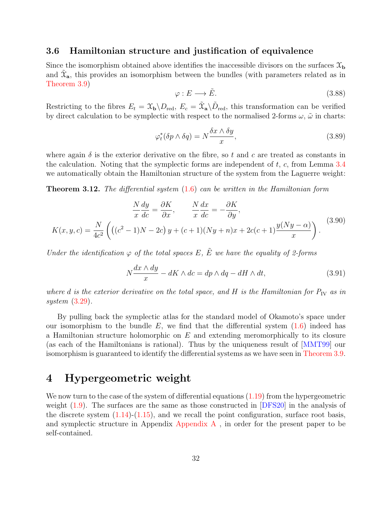### <span id="page-31-1"></span>3.6 Hamiltonian structure and justification of equivalence

Since the isomorphism obtained above identifies the inaccessible divisors on the surfaces  $\mathfrak{X}_{\mathbf{b}}$ and  $\tilde{\mathfrak{X}}_{a}$ , this provides an isomorphism between the bundles (with parameters related as in [Theorem 3.9\)](#page-30-0)

$$
\varphi: E \longrightarrow \tilde{E}.\tag{3.88}
$$

Restricting to the fibres  $E_t = \mathfrak{X}_b \backslash D_{\text{red}}, E_c = \tilde{\mathfrak{X}}_a \backslash \tilde{D}_{\text{red}},$  this transformation can be verified by direct calculation to be symplectic with respect to the normalised 2-forms  $\omega$ ,  $\tilde{\omega}$  in charts:

$$
\varphi_t^*(\delta p \wedge \delta q) = N \frac{\delta x \wedge \delta y}{x},\tag{3.89}
$$

where again  $\delta$  is the exterior derivative on the fibre, so t and c are treated as constants in the calculation. Noting that the symplectic forms are independent of  $t$ ,  $c$ , from Lemma [3.4](#page-22-0) we automatically obtain the Hamiltonian structure of the system from the Laguerre weight:

**Theorem 3.12.** The differential system  $(1.6)$  can be written in the Hamiltonian form

$$
\frac{N}{x}\frac{dy}{dc} = \frac{\partial K}{\partial x}, \qquad \frac{N}{x}\frac{dx}{dc} = -\frac{\partial K}{\partial y},
$$
\n
$$
K(x, y, c) = \frac{N}{4c^2} \left( \left( (c^2 - 1)N - 2c \right) y + (c+1)(Ny + n)x + 2c(c+1)\frac{y(Ny - \alpha)}{x} \right). \tag{3.90}
$$

Under the identification  $\varphi$  of the total spaces E,  $\tilde{E}$  we have the equality of 2-forms

$$
N\frac{dx \wedge dy}{x} - dK \wedge dc = dp \wedge dq - dH \wedge dt,\tag{3.91}
$$

where d is the exterior derivative on the total space, and H is the Hamiltonian for  $P_{IV}$  as in system [\(3.29\)](#page-17-1).

By pulling back the symplectic atlas for the standard model of Okamoto's space under our isomorphism to the bundle  $E$ , we find that the differential system  $(1.6)$  indeed has a Hamiltonian structure holomorphic on  $E$  and extending meromorphically to its closure (as each of the Hamiltonians is rational). Thus by the uniqueness result of [\[MMT99\]](#page-47-11) our isomorphism is guaranteed to identify the differential systems as we have seen in [Theorem 3.9.](#page-30-0)

# <span id="page-31-0"></span>4 Hypergeometric weight

We now turn to the case of the system of differential equations  $(1.19)$  from the hypergeometric weight [\(1.9\)](#page-5-4). The surfaces are the same as those constructed in [\[DFS20\]](#page-46-2) in the analysis of the discrete system  $(1.14)-(1.15)$  $(1.14)-(1.15)$ , and we recall the point configuration, surface root basis, and symplectic structure in [Appendix A](#page-40-0)ppendix  $\Lambda$ , in order for the present paper to be self-contained.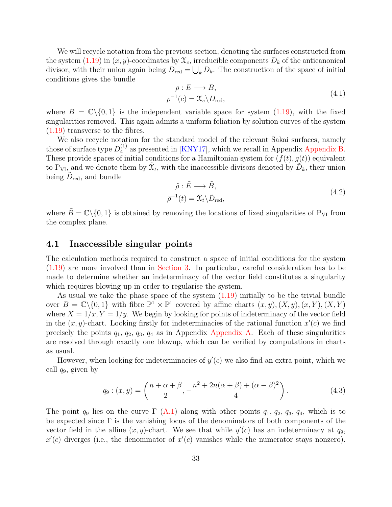We will recycle notation from the previous section, denoting the surfaces constructed from the system [\(1.19\)](#page-6-2) in  $(x, y)$ -coordinates by  $\mathcal{X}_c$ , irreducible components  $D_k$  of the anticanonical divisor, with their union again being  $D_{\text{red}} = \bigcup_k D_k$ . The construction of the space of initial conditions gives the bundle

<span id="page-32-0"></span>
$$
\rho: E \longrightarrow B,
$$
  
\n
$$
\rho^{-1}(c) = \mathfrak{X}_c \backslash D_{\text{red}},
$$
\n(4.1)

where  $B = \mathbb{C}\setminus\{0,1\}$  is the independent variable space for system  $(1.19)$ , with the fixed singularities removed. This again admits a uniform foliation by solution curves of the system [\(1.19\)](#page-6-2) transverse to the fibres.

We also recycle notation for the standard model of the relevant Sakai surfaces, namely those of surface type  $D_4^{(1)}$  $_4^{(1)}$  as presented in [\[KNY17\]](#page-47-0), which we recall in Appendix [Appendix B.](#page-42-0) These provide spaces of initial conditions for a Hamiltonian system for  $(f(t), g(t))$  equivalent to P<sub>VI</sub>, and we denote them by  $\tilde{\mathfrak{X}}_t$ , with the inaccessible divisors denoted by  $\tilde{D}_k$ , their union being  $\tilde{D}_{\text{red}}$ , and bundle

$$
\tilde{\rho}: \tilde{E} \longrightarrow \tilde{B}, \n\tilde{\rho}^{-1}(t) = \tilde{\chi}_t \backslash \tilde{D}_{\text{red}},
$$
\n(4.2)

where  $\tilde{B} = \mathbb{C}\backslash\{0,1\}$  is obtained by removing the locations of fixed singularities of P<sub>VI</sub> from the complex plane.

### 4.1 Inaccessible singular points

The calculation methods required to construct a space of initial conditions for the system [\(1.19\)](#page-6-2) are more involved than in [Section 3.](#page-10-0) In particular, careful consideration has to be made to determine whether an indeterminacy of the vector field constitutes a singularity which requires blowing up in order to regularise the system.

As usual we take the phase space of the system [\(1.19\)](#page-6-2) initially to be the trivial bundle over  $B = \mathbb{C} \setminus \{0,1\}$  with fibre  $\mathbb{P}^1 \times \mathbb{P}^1$  covered by affine charts  $(x, y), (X, y), (x, Y), (X, Y)$ where  $X = 1/x, Y = 1/y$ . We begin by looking for points of indeterminacy of the vector field in the  $(x, y)$ -chart. Looking firstly for indeterminacies of the rational function  $x'(c)$  we find precisely the points  $q_1, q_2, q_3, q_4$  as in Appendix [Appendix A.](#page-40-0) Each of these singularities are resolved through exactly one blowup, which can be verified by computations in charts as usual.

However, when looking for indeterminacies of  $y'(c)$  we also find an extra point, which we call  $q_9$ , given by

$$
q_9: (x, y) = \left(\frac{n + \alpha + \beta}{2}, -\frac{n^2 + 2n(\alpha + \beta) + (\alpha - \beta)^2}{4}\right). \tag{4.3}
$$

The point  $q_9$  lies on the curve  $\Gamma$  [\(A.1\)](#page-41-0) along with other points  $q_1, q_2, q_3, q_4$ , which is to be expected since  $\Gamma$  is the vanishing locus of the denominators of both components of the vector field in the affine  $(x, y)$ -chart. We see that while  $y'(c)$  has an indeterminacy at  $q_9$ ,  $x'(c)$  diverges (i.e., the denominator of  $x'(c)$  vanishes while the numerator stays nonzero).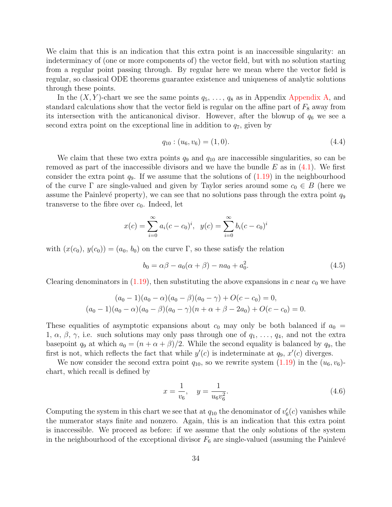We claim that this is an indication that this extra point is an inaccessible singularity: an indeterminacy of (one or more components of) the vector field, but with no solution starting from a regular point passing through. By regular here we mean where the vector field is regular, so classical ODE theorems guarantee existence and uniqueness of analytic solutions through these points.

In the  $(X, Y)$ -chart we see the same points  $q_5, \ldots, q_8$  as in Appendix [Appendix A,](#page-40-0) and standard calculations show that the vector field is regular on the affine part of  $F_8$  away from its intersection with the anticanonical divisor. However, after the blowup of  $q_6$  we see a second extra point on the exceptional line in addition to  $q_7$ , given by

$$
q_{10} : (u_6, v_6) = (1, 0). \tag{4.4}
$$

We claim that these two extra points  $q_9$  and  $q_{10}$  are inaccessible singularities, so can be removed as part of the inaccessible divisors and we have the bundle  $E$  as in  $(4.1)$ . We first consider the extra point  $q_9$ . If we assume that the solutions of  $(1.19)$  in the neighbourhood of the curve  $\Gamma$  are single-valued and given by Taylor series around some  $c_0 \in B$  (here we assume the Painlevé property), we can see that no solutions pass through the extra point  $q_9$ transverse to the fibre over  $c_0$ . Indeed, let

$$
x(c) = \sum_{i=0}^{\infty} a_i (c - c_0)^i, \ \ y(c) = \sum_{i=0}^{\infty} b_i (c - c_0)^i
$$

with  $(x(c_0), y(c_0)) = (a_0, b_0)$  on the curve  $\Gamma$ , so these satisfy the relation

$$
b_0 = \alpha \beta - a_0(\alpha + \beta) - na_0 + a_0^2.
$$
 (4.5)

Clearing denominators in  $(1.19)$ , then substituting the above expansions in c near  $c_0$  we have

$$
(a_0 - 1)(a_0 - \alpha)(a_0 - \beta)(a_0 - \gamma) + O(c - c_0) = 0,
$$
  
\n
$$
(a_0 - 1)(a_0 - \alpha)(a_0 - \beta)(a_0 - \gamma)(n + \alpha + \beta - 2a_0) + O(c - c_0) = 0.
$$

These equalities of asymptotic expansions about  $c_0$  may only be both balanced if  $a_0 =$ 1,  $\alpha$ ,  $\beta$ ,  $\gamma$ , i.e. such solutions may only pass through one of  $q_1, \ldots, q_4$ , and not the extra basepoint  $q_9$  at which  $a_0 = (n + \alpha + \beta)/2$ . While the second equality is balanced by  $q_9$ , the first is not, which reflects the fact that while  $y'(c)$  is indeterminate at  $q_9$ ,  $x'(c)$  diverges.

We now consider the second extra point  $q_{10}$ , so we rewrite system  $(1.19)$  in the  $(u_6, v_6)$ chart, which recall is defined by

$$
x = \frac{1}{v_6}, \quad y = \frac{1}{u_6 v_6^2}.
$$
\n(4.6)

Computing the system in this chart we see that at  $q_{10}$  the denominator of  $v'_{6}(c)$  vanishes while the numerator stays finite and nonzero. Again, this is an indication that this extra point is inaccessible. We proceed as before: if we assume that the only solutions of the system in the neighbourhood of the exceptional divisor  $F_6$  are single-valued (assuming the Painlevé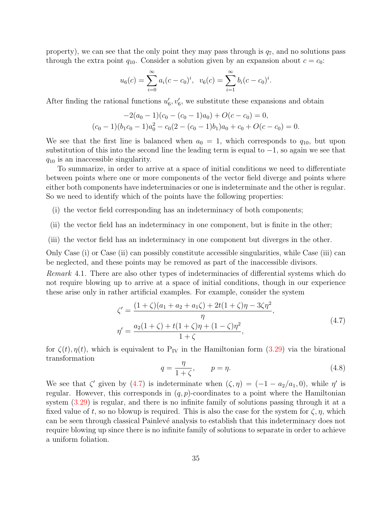property), we can see that the only point they may pass through is  $q_7$ , and no solutions pass through the extra point  $q_{10}$ . Consider a solution given by an expansion about  $c = c_0$ :

$$
u_6(c) = \sum_{i=0}^{\infty} a_i (c - c_0)^i, \ \ v_6(c) = \sum_{i=1}^{\infty} b_i (c - c_0)^i.
$$

After finding the rational functions  $u'_6, v'_6$ , we substitute these expansions and obtain

$$
-2(a_0 - 1)(c_0 - (c_0 - 1)a_0) + O(c - c_0) = 0,
$$
  

$$
(c_0 - 1)(b_1c_0 - 1)a_0^2 - c_0(2 - (c_0 - 1)b_1)a_0 + c_0 + O(c - c_0) = 0.
$$

We see that the first line is balanced when  $a_0 = 1$ , which corresponds to  $q_{10}$ , but upon substitution of this into the second line the leading term is equal to  $-1$ , so again we see that  $q_{10}$  is an inaccessible singularity.

To summarize, in order to arrive at a space of initial conditions we need to differentiate between points where one or more components of the vector field diverge and points where either both components have indeterminacies or one is indeterminate and the other is regular. So we need to identify which of the points have the following properties:

- (i) the vector field corresponding has an indeterminacy of both components;
- (ii) the vector field has an indeterminacy in one component, but is finite in the other;
- (iii) the vector field has an indeterminacy in one component but diverges in the other.

Only Case (i) or Case (ii) can possibly constitute accessible singularities, while Case (iii) can be neglected, and these points may be removed as part of the inaccessible divisors.

Remark 4.1. There are also other types of indeterminacies of differential systems which do not require blowing up to arrive at a space of initial conditions, though in our experience these arise only in rather artificial examples. For example, consider the system

<span id="page-34-0"></span>
$$
\zeta' = \frac{(1+\zeta)(a_1 + a_2 + a_1\zeta) + 2t(1+\zeta)\eta - 3\zeta\eta^2}{\eta},
$$
  
\n
$$
\eta' = \frac{a_2(1+\zeta) + t(1+\zeta)\eta + (1-\zeta)\eta^2}{1+\zeta},
$$
\n(4.7)

for  $\zeta(t), \eta(t)$ , which is equivalent to P<sub>IV</sub> in the Hamiltonian form [\(3.29\)](#page-17-1) via the birational transformation

$$
q = \frac{\eta}{1 + \zeta}, \qquad p = \eta. \tag{4.8}
$$

We see that  $\zeta'$  given by [\(4.7\)](#page-34-0) is indeterminate when  $(\zeta, \eta) = (-1 - a_2/a_1, 0)$ , while  $\eta'$  is regular. However, this corresponds in  $(q, p)$ -coordinates to a point where the Hamiltonian system [\(3.29\)](#page-17-1) is regular, and there is no infinite family of solutions passing through it at a fixed value of t, so no blowup is required. This is also the case for the system for  $\zeta$ ,  $\eta$ , which can be seen through classical Painlevé analysis to establish that this indeterminacy does not require blowing up since there is no infinite family of solutions to separate in order to achieve a uniform foliation.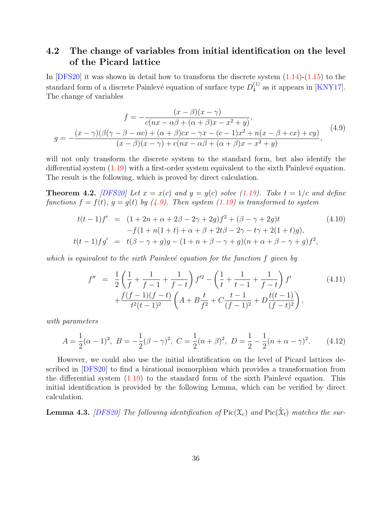## 4.2 The change of variables from initial identification on the level of the Picard lattice

In  $[DFS20]$  it was shown in detail how to transform the discrete system  $(1.14)-(1.15)$  $(1.14)-(1.15)$  to the standard form of a discrete Painlevé equation of surface type  $D_4^{(1)}$  $_4^{(1)}$  as it appears in [\[KNY17\]](#page-47-0). The change of variables

<span id="page-35-0"></span>
$$
f = -\frac{(x-\beta)(x-\gamma)}{c(nx-\alpha\beta+(\alpha+\beta)x-x^2+y)},
$$
  

$$
g = -\frac{(x-\gamma)(\beta(\gamma-\beta-\alpha c) + (\alpha+\beta)cx-\gamma x - (c-1)x^2 + n(x-\beta+cx) + cy)}{(x-\beta)(x-\gamma) + c(nx-\alpha\beta+(\alpha+\beta)x-x^2+y)},
$$
(4.9)

will not only transform the discrete system to the standard form, but also identify the differential system  $(1.19)$  with a first-order system equivalent to the sixth Painlevé equation. The result is the following, which is proved by direct calculation.

<span id="page-35-3"></span>**Theorem 4.2.** [\[DFS20\]](#page-46-2) Let  $x = x(c)$  and  $y = y(c)$  solve [\(1.19\)](#page-6-2). Take  $t = 1/c$  and define functions  $f = f(t)$ ,  $q = q(t)$  by [\(4.9\)](#page-35-0). Then system [\(1.19\)](#page-6-2) is transformed to system

$$
t(t-1)f' = (1+2n+\alpha+2\beta-2\gamma+2g)f^{2} + (\beta-\gamma+2g)t
$$
  
\n
$$
-f(1+n(1+t)+\alpha+\beta+2t\beta-2\gamma-t\gamma+2(1+t)g),
$$
  
\n
$$
t(t-1)fg' = t(\beta-\gamma+g)g - (1+n+\beta-\gamma+g)(n+\alpha+\beta-\gamma+g)f^{2},
$$
\n(4.10)

which is equivalent to the sixth Painlevé equation for the function f given by

$$
f'' = \frac{1}{2} \left( \frac{1}{f} + \frac{1}{f-1} + \frac{1}{f-t} \right) f'^2 - \left( \frac{1}{t} + \frac{1}{t-1} + \frac{1}{f-t} \right) f' + \frac{f(f-1)(f-t)}{t^2(t-1)^2} \left( A + B \frac{t}{f^2} + C \frac{t-1}{(f-1)^2} + D \frac{t(t-1)}{(f-t)^2} \right),
$$
(4.11)

with parameters

<span id="page-35-2"></span>
$$
A = \frac{1}{2}(\alpha - 1)^2, \ B = -\frac{1}{2}(\beta - \gamma)^2, \ C = \frac{1}{2}(n + \beta)^2, \ D = \frac{1}{2} - \frac{1}{2}(n + \alpha - \gamma)^2.
$$
 (4.12)

However, we could also use the initial identification on the level of Picard lattices described in [\[DFS20\]](#page-46-2) to find a birational isomorphism which provides a transformation from the differential system  $(1.19)$  to the standard form of the sixth Painlevé equation. This initial identification is provided by the following Lemma, which can be verified by direct calculation.

<span id="page-35-1"></span>**Lemma 4.3.** [\[DFS20\]](#page-46-2) The following identification of  $Pic(\mathfrak{X}_c)$  and  $Pic(\tilde{\mathfrak{X}}_t)$  matches the sur-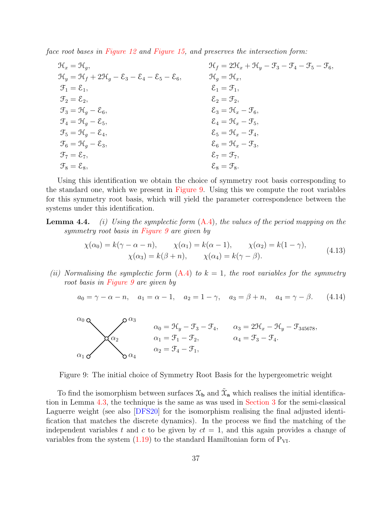face root bases in [Figure 12](#page-42-1) and [Figure 15,](#page-44-0) and preserves the intersection form:

| $\mathfrak{H}_x = \mathfrak{H}_a,$                                                                                       | $\mathcal{H}_f = 2\mathcal{H}_x + \mathcal{H}_y - \mathcal{F}_3 - \mathcal{F}_4 - \mathcal{F}_5 - \mathcal{F}_6,$ |
|--------------------------------------------------------------------------------------------------------------------------|-------------------------------------------------------------------------------------------------------------------|
| $\mathfrak{H}_y = \mathfrak{H}_f + 2\mathfrak{H}_q - \mathfrak{E}_3 - \mathfrak{E}_4 - \mathfrak{E}_5 - \mathfrak{E}_6,$ | $\mathfrak{H}_q = \mathfrak{H}_x,$                                                                                |
| $\mathfrak{F}_1 = \mathfrak{E}_1,$                                                                                       | $\mathcal{E}_1 = \mathcal{F}_1,$                                                                                  |
| $\mathfrak{F}_2=\mathfrak{E}_2,$                                                                                         | $\mathcal{E}_2 = \mathcal{F}_2$ ,                                                                                 |
| $\mathfrak{F}_3 = \mathfrak{H}_q - \mathfrak{E}_6,$                                                                      | $\mathcal{E}_3 = \mathcal{H}_x - \mathcal{F}_6,$                                                                  |
| $\mathfrak{F}_4 = \mathfrak{H}_q - \mathfrak{E}_5,$                                                                      | $\mathcal{E}_4 = \mathcal{H}_x - \mathcal{F}_5,$                                                                  |
| $\mathfrak{F}_5 = \mathfrak{H}_q - \mathfrak{E}_4,$                                                                      | $\mathcal{E}_5 = \mathcal{H}_x - \mathcal{F}_4,$                                                                  |
| $\mathfrak{F}_6 = \mathfrak{H}_q - \mathfrak{E}_3,$                                                                      | $\mathcal{E}_6 = \mathcal{H}_x - \mathcal{F}_3,$                                                                  |
| $\mathfrak{F}_7 = \mathfrak{E}_7,$                                                                                       | $\mathcal{E}_7 = \mathcal{F}_7$                                                                                   |
| $\mathfrak{F}_8 = \mathfrak{E}_8,$                                                                                       | $\mathcal{E}_8 = \mathcal{F}_8.$                                                                                  |

Using this identification we obtain the choice of symmetry root basis corresponding to the standard one, which we present in [Figure 9.](#page-36-0) Using this we compute the root variables for this symmetry root basis, which will yield the parameter correspondence between the systems under this identification.

**Lemma 4.4.** (i) Using the symplectic form  $(A.4)$ , the values of the period mapping on the symmetry root basis in [Figure 9](#page-36-0) are given by

$$
\chi(\alpha_0) = k(\gamma - \alpha - n), \qquad \chi(\alpha_1) = k(\alpha - 1), \qquad \chi(\alpha_2) = k(1 - \gamma),
$$
  

$$
\chi(\alpha_3) = k(\beta + n), \qquad \chi(\alpha_4) = k(\gamma - \beta).
$$
 (4.13)

(ii) Normalising the symplectic form  $(A.4)$  to  $k = 1$ , the root variables for the symmetry root basis in [Figure 9](#page-36-0) are given by

$$
a_0 = \gamma - \alpha - n
$$
,  $a_1 = \alpha - 1$ ,  $a_2 = 1 - \gamma$ ,  $a_3 = \beta + n$ ,  $a_4 = \gamma - \beta$ . (4.14)



<span id="page-36-0"></span>Figure 9: The initial choice of Symmetry Root Basis for the hypergeometric weight

To find the isomorphism between surfaces  $\mathfrak{X}_{\mathbf{b}}$  and  $\tilde{\mathfrak{X}}_{\mathbf{a}}$  which realises the initial identification in Lemma [4.3,](#page-35-1) the technique is the same as was used in [Section 3](#page-10-0) for the semi-classical Laguerre weight (see also [\[DFS20\]](#page-46-2) for the isomorphism realising the final adjusted identification that matches the discrete dynamics). In the process we find the matching of the independent variables t and c to be given by  $ct = 1$ , and this again provides a change of variables from the system  $(1.19)$  to the standard Hamiltonian form of  $P_{VI}$ .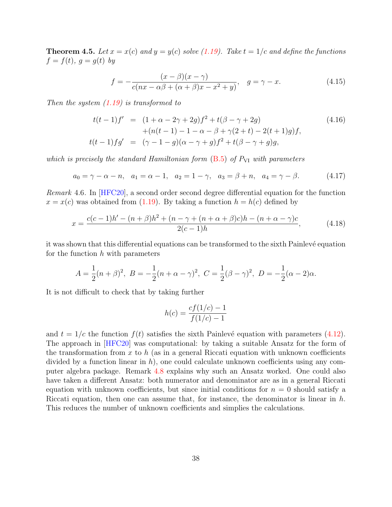<span id="page-37-1"></span>**Theorem 4.5.** Let  $x = x(c)$  and  $y = y(c)$  solve [\(1.19\)](#page-6-2). Take  $t = 1/c$  and define the functions  $f = f(t), g = g(t)$  by

$$
f = -\frac{(x-\beta)(x-\gamma)}{c(nx-\alpha\beta+(\alpha+\beta)x-x^2+y)}, \quad g = \gamma - x. \tag{4.15}
$$

Then the system [\(1.19\)](#page-6-2) is transformed to

$$
t(t-1)f' = (1+\alpha-2\gamma+2g)f^{2} + t(\beta-\gamma+2g)
$$
  
+
$$
(4.16)
$$
  
+
$$
(n(t-1)-1-\alpha-\beta+\gamma(2+t)-2(t+1)g)f,
$$
  

$$
t(t-1)fg' = (\gamma-1-g)(\alpha-\gamma+g)f^{2} + t(\beta-\gamma+g)g,
$$
 (4.16)

which is precisely the standard Hamiltonian form  $(B.5)$  of  $P_{VI}$  with parameters

<span id="page-37-0"></span>
$$
a_0 = \gamma - \alpha - n
$$
,  $a_1 = \alpha - 1$ ,  $a_2 = 1 - \gamma$ ,  $a_3 = \beta + n$ ,  $a_4 = \gamma - \beta$ . (4.17)

Remark 4.6. In [\[HFC20\]](#page-46-7), a second order second degree differential equation for the function  $x = x(c)$  was obtained from [\(1.19\)](#page-6-2). By taking a function  $h = h(c)$  defined by

$$
x = \frac{c(c-1)h' - (n+\beta)h^2 + (n-\gamma + (n+\alpha+\beta)c)h - (n+\alpha-\gamma)c}{2(c-1)h},
$$
(4.18)

it was shown that this differential equations can be transformed to the sixth Painlevé equation for the function  $h$  with parameters

$$
A = \frac{1}{2}(n+\beta)^2, \ B = -\frac{1}{2}(n+\alpha-\gamma)^2, \ C = \frac{1}{2}(\beta-\gamma)^2, \ D = -\frac{1}{2}(\alpha-2)\alpha.
$$

It is not difficult to check that by taking further

$$
h(c) = \frac{cf(1/c) - 1}{f(1/c) - 1}
$$

and  $t = 1/c$  the function  $f(t)$  satisfies the sixth Painlevé equation with parameters [\(4.12\)](#page-35-2). The approach in [\[HFC20\]](#page-46-7) was computational: by taking a suitable Ansatz for the form of the transformation from x to h (as in a general Riccati equation with unknown coefficients divided by a function linear in  $h$ ), one could calculate unknown coefficients using any computer algebra package. Remark [4.8](#page-39-0) explains why such an Ansatz worked. One could also have taken a different Ansatz: both numerator and denominator are as in a general Riccati equation with unknown coefficients, but since initial conditions for  $n = 0$  should satisfy a Riccati equation, then one can assume that, for instance, the denominator is linear in  $h$ . This reduces the number of unknown coefficients and simplies the calculations.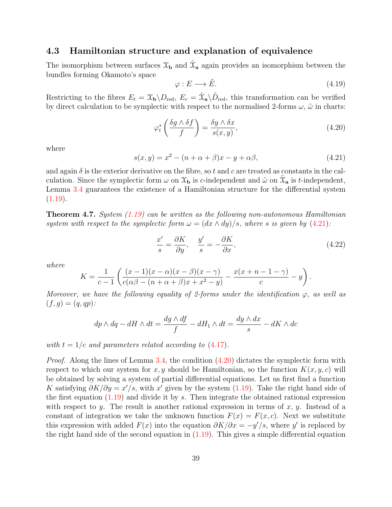## 4.3 Hamiltonian structure and explanation of equivalence

The isomorphism between surfaces  $\mathfrak{X}_{\mathbf{b}}$  and  $\tilde{\mathfrak{X}}_{\mathbf{a}}$  again provides an isomorphism between the bundles forming Okamoto's space

$$
\varphi: E \longrightarrow \tilde{E}.\tag{4.19}
$$

Restricting to the fibres  $E_t = \mathfrak{X}_b \backslash D_{\text{red}}, E_c = \tilde{\mathfrak{X}}_a \backslash \tilde{D}_{\text{red}},$  this transformation can be verified by direct calculation to be symplectic with respect to the normalised 2-forms  $\omega$ ,  $\tilde{\omega}$  in charts:

<span id="page-38-1"></span>
$$
\varphi_t^* \left( \frac{\delta g \wedge \delta f}{f} \right) = \frac{\delta y \wedge \delta x}{s(x, y)},\tag{4.20}
$$

where

<span id="page-38-0"></span>
$$
s(x,y) = x2 - (n + \alpha + \beta)x - y + \alpha\beta,
$$
\n(4.21)

and again  $\delta$  is the exterior derivative on the fibre, so t and c are treated as constants in the calculation. Since the symplectic form  $\omega$  on  $\mathfrak{X}_{\mathbf{b}}$  is c-independent and  $\tilde{\omega}$  on  $\tilde{\mathfrak{X}}_{\mathbf{a}}$  is t-independent, Lemma [3.4](#page-22-0) guarantees the existence of a Hamiltonian structure for the differential system  $(1.19)$ .

**Theorem 4.7.** System  $(1.19)$  can be written as the following non-autonomous Hamiltonian system with respect to the symplectic form  $\omega = (dx \wedge dy)/s$ , where s is given by [\(4.21\)](#page-38-0):

<span id="page-38-2"></span>
$$
\frac{x'}{s} = \frac{\partial K}{\partial y}, \quad \frac{y'}{s} = -\frac{\partial K}{\partial x},\tag{4.22}
$$

where

$$
K = \frac{1}{c-1} \left( \frac{(x-1)(x-\alpha)(x-\beta)(x-\gamma)}{c(\alpha\beta-(n+\alpha+\beta)x+x^2-y)} - \frac{x(x+n-1-\gamma)}{c} - y \right).
$$

Moreover, we have the following equality of 2-forms under the identification  $\varphi$ , as well as  $(f, g) = (q, qp)$ :

$$
dp \wedge dq - dH \wedge dt = \frac{dg \wedge df}{f} - dH_1 \wedge dt = \frac{dy \wedge dx}{s} - dK \wedge dc
$$

with  $t = 1/c$  and parameters related according to  $(4.17)$ .

*Proof.* Along the lines of Lemma [3.4,](#page-22-0) the condition  $(4.20)$  dictates the symplectic form with respect to which our system for x, y should be Hamiltonian, so the function  $K(x, y, c)$  will be obtained by solving a system of partial differential equations. Let us first find a function K satisfying  $\partial K/\partial y = x'/s$ , with x' given by the system [\(1.19\)](#page-6-2). Take the right hand side of the first equation  $(1.19)$  and divide it by s. Then integrate the obtained rational expression with respect to y. The result is another rational expression in terms of x, y. Instead of a constant of integration we take the unknown function  $F(x) = F(x, c)$ . Next we substitute this expression with added  $F(x)$  into the equation  $\partial K/\partial x = -y'/s$ , where y' is replaced by the right hand side of the second equation in  $(1.19)$ . This gives a simple differential equation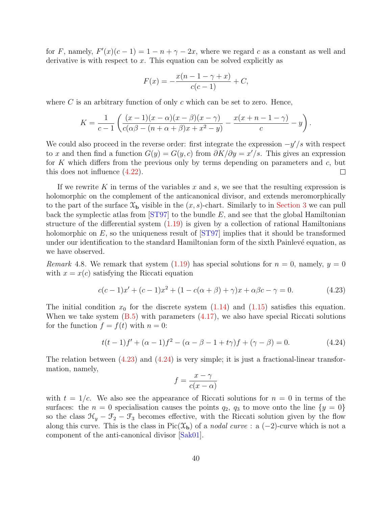for F, namely,  $F'(x)(c-1) = 1 - n + \gamma - 2x$ , where we regard c as a constant as well and derivative is with respect to  $x$ . This equation can be solved explicitly as

$$
F(x) = -\frac{x(n - 1 - \gamma + x)}{c(c - 1)} + C,
$$

where  $C$  is an arbitrary function of only  $c$  which can be set to zero. Hence,

$$
K = \frac{1}{c-1} \left( \frac{(x-1)(x-\alpha)(x-\beta)(x-\gamma)}{c(\alpha\beta-(n+\alpha+\beta)x+x^2-y)} - \frac{x(x+n-1-\gamma)}{c} - y \right).
$$

We could also proceed in the reverse order: first integrate the expression  $-y'/s$  with respect to x and then find a function  $G(y) = G(y, c)$  from  $\partial K/\partial y = x'/s$ . This gives an expression for K which differs from the previous only by terms depending on parameters and  $c$ , but this does not influence [\(4.22\)](#page-38-2).  $\Box$ 

If we rewrite K in terms of the variables  $x$  and  $s$ , we see that the resulting expression is holomorphic on the complement of the anticanonical divisor, and extends meromorphically to the part of the surface  $\mathfrak{X}_b$  visible in the  $(x, s)$ -chart. Similarly to in [Section 3](#page-10-0) we can pull back the symplectic atlas from  $ST97$  to the bundle E, and see that the global Hamiltonian structure of the differential system [\(1.19\)](#page-6-2) is given by a collection of rational Hamiltonians holomorphic on  $E$ , so the uniqueness result of  $ST97$  implies that it should be transformed under our identification to the standard Hamiltonian form of the sixth Painlevé equation, as we have observed.

<span id="page-39-0"></span>Remark 4.8. We remark that system  $(1.19)$  has special solutions for  $n = 0$ , namely,  $y = 0$ with  $x = x(c)$  satisfying the Riccati equation

<span id="page-39-1"></span>
$$
c(c-1)x' + (c-1)x^{2} + (1 - c(\alpha + \beta) + \gamma)x + \alpha\beta c - \gamma = 0.
$$
 (4.23)

The initial condition  $x_0$  for the discrete system  $(1.14)$  and  $(1.15)$  satisfies this equation. When we take system  $(B.5)$  with parameters  $(4.17)$ , we also have special Riccati solutions for the function  $f = f(t)$  with  $n = 0$ :

<span id="page-39-2"></span>
$$
t(t-1)f' + (\alpha - 1)f^{2} - (\alpha - \beta - 1 + t\gamma)f + (\gamma - \beta) = 0.
$$
 (4.24)

The relation between  $(4.23)$  and  $(4.24)$  is very simple; it is just a fractional-linear transformation, namely,

$$
f = \frac{x - \gamma}{c(x - \alpha)}
$$

with  $t = 1/c$ . We also see the appearance of Riccati solutions for  $n = 0$  in terms of the surfaces: the  $n = 0$  specialisation causes the points  $q_2$ ,  $q_3$  to move onto the line  $\{y = 0\}$ so the class  $\mathfrak{H}_y - \mathfrak{F}_2 - \mathfrak{F}_3$  becomes effective, with the Riccati solution given by the flow along this curve. This is the class in Pic( $\mathfrak{X}_{\mathbf{b}}$ ) of a nodal curve : a (−2)-curve which is not a component of the anti-canonical divisor [\[Sak01\]](#page-48-2).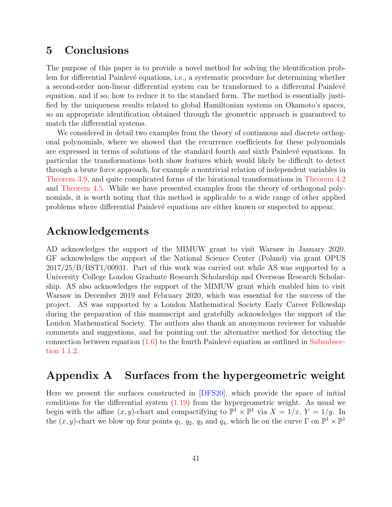# 5 Conclusions

The purpose of this paper is to provide a novel method for solving the identification problem for differential Painlevé equations, i.e., a systematic procedure for determining whether a second-order non-linear differential system can be transformed to a differental Painlevé equation, and if so, how to reduce it to the standard form. The method is essentially justified by the uniqueness results related to global Hamiltonian systems on Okamoto's spaces, so an appropriate identification obtained through the geometric approach is guaranteed to match the differential systems.

We considered in detail two examples from the theory of continuous and discrete orthogonal polynomials, where we showed that the recurrence coefficients for these polynomials are expressed in terms of solutions of the standard fourth and sixth Painlevé equations. In particular the transformations both show features which would likely be difficult to detect through a brute force approach, for example a nontrivial relation of independent variables in [Theorem 3.9,](#page-30-0) and quite complicated forms of the birational transformations in [Theorem 4.2](#page-35-3) and [Theorem 4.5.](#page-37-1) While we have presented examples from the theory of orthogonal polynomials, it is worth noting that this method is applicable to a wide range of other applied problems where differential Painlev´e equations are either known or suspected to appear.

# Acknowledgements

AD acknowledges the support of the MIMUW grant to visit Warsaw in January 2020. GF acknowledges the support of the National Science Center (Poland) via grant OPUS 2017/25/B/BST1/00931. Part of this work was carried out while AS was supported by a University College London Graduate Research Scholarship and Overseas Research Scholarship. AS also acknowledges the support of the MIMUW grant which enabled him to visit Warsaw in December 2019 and February 2020, which was essential for the success of the project. AS was supported by a London Mathematical Society Early Career Fellowship during the preparation of this manuscript and gratefully acknowledges the support of the London Mathematical Society. The authors also thank an anonymous reviewer for valuable comments and suggestions, and for pointing out the alternative method for detecting the connection between equation  $(1.6)$  to the fourth Painlevé equation as outlined in [Subsubsec](#page-3-2)[tion 1.1.2.](#page-3-2)

# <span id="page-40-0"></span>Appendix A Surfaces from the hypergeometric weight

Here we present the surfaces constructed in [\[DFS20\]](#page-46-2), which provide the space of initial conditions for the differential system  $(1.19)$  from the hypergeometric weight. As usual we begin with the affine  $(x, y)$ -chart and compactifying to  $\mathbb{P}^1 \times \mathbb{P}^1$  via  $X = 1/x$ ,  $Y = 1/y$ . In the  $(x, y)$ -chart we blow up four points  $q_1, q_2, q_3$  and  $q_4$ , which lie on the curve  $\Gamma$  on  $\mathbb{P}^1 \times \mathbb{P}^1$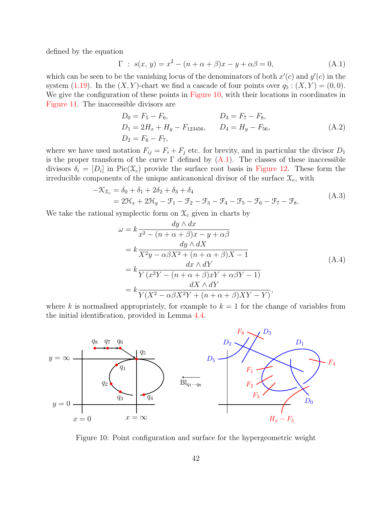defined by the equation

<span id="page-41-0"></span>
$$
\Gamma : s(x, y) = x^2 - (n + \alpha + \beta)x - y + \alpha\beta = 0,
$$
\n(A.1)

which can be seen to be the vanishing locus of the denominators of both  $x'(c)$  and  $y'(c)$  in the system [\(1.19\)](#page-6-2). In the  $(X, Y)$ -chart we find a cascade of four points over  $q_5 : (X, Y) = (0, 0)$ . We give the configuration of these points in [Figure 10,](#page-41-2) with their locations in coordinates in [Figure 11.](#page-42-2) The inaccessible divisors are

$$
D_0 = F_5 - F_6,
$$
  
\n
$$
D_1 = 2H_x + H_y - F_{123456},
$$
  
\n
$$
D_2 = F_6 - F_7,
$$
  
\n
$$
D_3 = F_7 - F_8,
$$
  
\n
$$
D_4 = H_y - F_{56},
$$
  
\n
$$
(A.2)
$$

where we have used notation  $F_{ij} = F_i + F_j$  etc. for brevity, and in particular the divisor  $D_1$ is the proper transform of the curve  $\Gamma$  defined by  $(A.1)$ . The classes of these inaccessible divisors  $\delta_i = [D_i]$  in Pic( $\mathfrak{X}_c$ ) provide the surface root basis in [Figure 12.](#page-42-1) These form the irreducible components of the unique anticanonical divisor of the surface  $\mathfrak{X}_c$ , with

$$
-\mathcal{K}_{\mathcal{X}_c} = \delta_0 + \delta_1 + 2\delta_2 + \delta_3 + \delta_4 = 2\mathcal{H}_x + 2\mathcal{H}_y - \mathcal{F}_1 - \mathcal{F}_2 - \mathcal{F}_3 - \mathcal{F}_4 - \mathcal{F}_5 - \mathcal{F}_6 - \mathcal{F}_7 - \mathcal{F}_8.
$$
 (A.3)

We take the rational symplectic form on  $\mathfrak{X}_c$  given in charts by

<span id="page-41-1"></span>
$$
\omega = k \frac{dy \wedge dx}{x^2 - (n + \alpha + \beta)x - y + \alpha\beta}
$$
  
=  $k \frac{dy \wedge dX}{X^2y - \alpha\beta X^2 + (n + \alpha + \beta)X - 1}$   
=  $k \frac{dx \wedge dY}{Y(x^2Y - (n + \alpha + \beta)xY + \alpha\beta Y - 1)}$   
=  $k \frac{dX \wedge dY}{Y(X^2 - \alpha\beta X^2Y + (n + \alpha + \beta)XY - Y)},$  (A.4)

where k is normalised appropriately, for example to  $k = 1$  for the change of variables from the initial identification, provided in Lemma [4.4.](#page-0-0)



<span id="page-41-2"></span>Figure 10: Point configuration and surface for the hypergeometric weight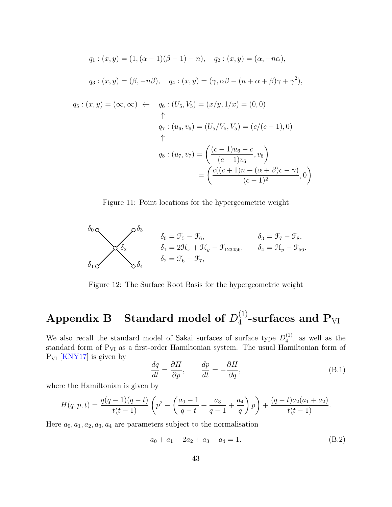$$
q_1: (x, y) = (1, (\alpha - 1)(\beta - 1) - n), \quad q_2: (x, y) = (\alpha, -n\alpha),
$$
  

$$
q_3: (x, y) = (\beta, -n\beta), \quad q_4: (x, y) = (\gamma, \alpha\beta - (n + \alpha + \beta)\gamma + \gamma^2),
$$

$$
q_5: (x, y) = (\infty, \infty) \leftarrow q_6: (U_5, V_5) = (x/y, 1/x) = (0, 0)
$$
  
\n
$$
\uparrow
$$
  
\n
$$
q_7: (u_6, v_6) = (U_5/V_5, V_5) = (c/(c-1), 0)
$$
  
\n
$$
\uparrow
$$
  
\n
$$
q_8: (u_7, v_7) = \left(\frac{(c-1)u_6 - c}{(c-1)v_6}, v_6\right)
$$
  
\n
$$
= \left(\frac{c((c+1)n + (\alpha + \beta)c - \gamma)}{(c-1)^2}, 0\right)
$$

<span id="page-42-2"></span>Figure 11: Point locations for the hypergeometric weight

$$
\delta_0 \underbrace{\diamondsuit}_{\delta_1 \bullet \bullet} \underbrace{\delta_2 \underbrace{\delta_3}_{\delta_1 = 2\mathcal{H}_x + \mathcal{H}_y - \mathcal{F}_{123456}}}_{\delta_2 = \mathcal{F}_6 - \mathcal{F}_7, \qquad \delta_4 = \mathcal{H}_y - \mathcal{F}_{56}}.
$$

<span id="page-42-1"></span>Figure 12: The Surface Root Basis for the hypergeometric weight

## <span id="page-42-0"></span>Appendix B Standard model of  $D_4^{(1)}$  $_4^{\textrm{\tiny (1)}}$ -surfaces and  $\rm P_{VI}$

We also recall the standard model of Sakai surfaces of surface type  $D_4^{(1)}$  $\binom{1}{4}$ , as well as the standard form of PVI as a first-order Hamiltonian system. The usual Hamiltonian form of  $P_{VI}$  [\[KNY17\]](#page-47-0) is given by

<span id="page-42-3"></span>
$$
\frac{dq}{dt} = \frac{\partial H}{\partial p}, \qquad \frac{dp}{dt} = -\frac{\partial H}{\partial q}, \tag{B.1}
$$

where the Hamiltonian is given by

$$
H(q, p, t) = \frac{q(q-1)(q-t)}{t(t-1)} \left( p^2 - \left( \frac{a_0 - 1}{q-t} + \frac{a_3}{q-1} + \frac{a_4}{q} \right) p \right) + \frac{(q-t)a_2(a_1 + a_2)}{t(t-1)}.
$$

Here  $a_0, a_1, a_2, a_3, a_4$  are parameters subject to the normalisation

<span id="page-42-4"></span>
$$
a_0 + a_1 + 2a_2 + a_3 + a_4 = 1.
$$
 (B.2)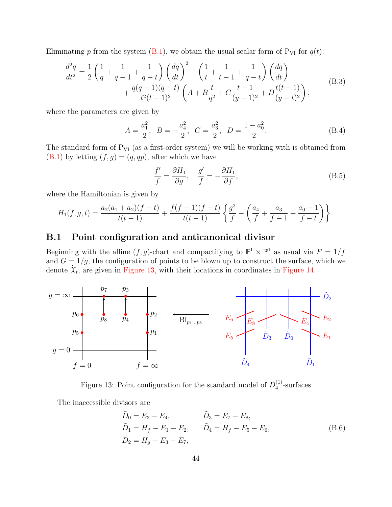Eliminating p from the system  $(B.1)$ , we obtain the usual scalar form of  $P_{VI}$  for  $q(t)$ :

$$
\frac{d^2q}{dt^2} = \frac{1}{2} \left( \frac{1}{q} + \frac{1}{q-1} + \frac{1}{q-t} \right) \left( \frac{dq}{dt} \right)^2 - \left( \frac{1}{t} + \frac{1}{t-1} + \frac{1}{q-t} \right) \left( \frac{dq}{dt} \right) \n+ \frac{q(q-1)(q-t)}{t^2(t-1)^2} \left( A + B\frac{t}{q^2} + C\frac{t-1}{(y-1)^2} + D\frac{t(t-1)}{(y-t)^2} \right),
$$
\n(B.3)

where the parameters are given by

$$
A = \frac{a_1^2}{2}, \ B = -\frac{a_4^2}{2}, \ C = \frac{a_3^2}{2}, \ D = \frac{1 - a_0^2}{2}.
$$
 (B.4)

The standard form of  $P_{VI}$  (as a first-order system) we will be working with is obtained from  $(B.1)$  by letting  $(f, g) = (q, qp)$ , after which we have

<span id="page-43-0"></span>
$$
\frac{f'}{f} = \frac{\partial H_1}{\partial g}, \quad \frac{g'}{f} = -\frac{\partial H_1}{\partial f},\tag{B.5}
$$

where the Hamiltonian is given by

$$
H_1(f,g,t) = \frac{a_2(a_1+a_2)(f-t)}{t(t-1)} + \frac{f(f-1)(f-t)}{t(t-1)} \left\{ \frac{g^2}{f} - \left( \frac{a_4}{f} + \frac{a_3}{f-1} + \frac{a_0-1}{f-t} \right) \right\}.
$$

## B.1 Point configuration and anticanonical divisor

Beginning with the affine  $(f, g)$ -chart and compactifying to  $\mathbb{P}^1 \times \mathbb{P}^1$  as usual via  $F = 1/f$ and  $G = 1/g$ , the configuration of points to be blown up to construct the surface, which we denote  $\tilde{\mathfrak{X}}_t$ , are given in [Figure 13,](#page-43-1) with their locations in coordinates in [Figure 14.](#page-44-1)



Figure 13: Point configuration for the standard model of  $D_4^{(1)}$  $4^{(1)}$ -surfaces

The inaccessible divisors are

<span id="page-43-2"></span><span id="page-43-1"></span>
$$
\tilde{D}_0 = E_3 - E_4, \qquad \tilde{D}_3 = E_7 - E_8, \n\tilde{D}_1 = H_f - E_1 - E_2, \qquad \tilde{D}_4 = H_f - E_5 - E_6, \n\tilde{D}_2 = H_g - E_3 - E_7,
$$
\n(B.6)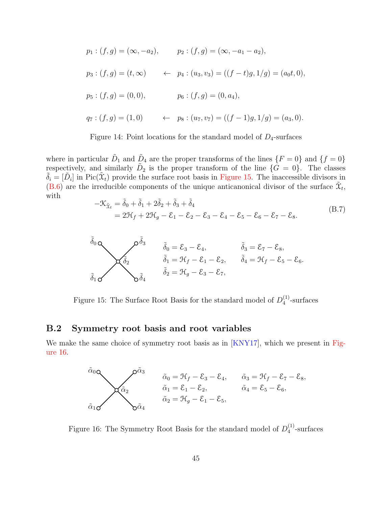$$
p_1: (f,g) = (\infty, -a_2), \qquad p_2: (f,g) = (\infty, -a_1 - a_2),
$$
  
\n
$$
p_3: (f,g) = (t,\infty) \qquad \leftarrow \quad p_4: (u_3, v_3) = ((f-t)g, 1/g) = (a_0t, 0),
$$
  
\n
$$
p_5: (f,g) = (0,0), \qquad p_6: (f,g) = (0,a_4),
$$
  
\n
$$
q_7: (f,g) = (1,0) \qquad \leftarrow \quad p_8: (u_7, v_7) = ((f-1)g, 1/g) = (a_3, 0).
$$

<span id="page-44-1"></span>Figure 14: Point locations for the standard model of  $D_4$ -surfaces

where in particular  $\tilde{D}_1$  and  $\tilde{D}_4$  are the proper transforms of the lines  $\{F=0\}$  and  $\{f=0\}$ respectively, and similarly  $\tilde{D}_2$  is the proper transform of the line  $\{G = 0\}$ . The classes  $\tilde{\delta}_i = [\tilde{D}_i]$  in Pic $(\tilde{\mathfrak{X}}_t)$  provide the surface root basis in [Figure 15.](#page-44-0) The inaccessible divisors in  $(B.6)$  are the irreducible components of the unique anticanonical divisor of the surface  $\tilde{\chi}_t$ , with

$$
-\mathcal{K}_{\tilde{\mathcal{X}}_t} = \tilde{\delta}_0 + \tilde{\delta}_1 + 2\tilde{\delta}_2 + \tilde{\delta}_3 + \tilde{\delta}_4
$$
  
= 2\mathcal{H}\_f + 2\mathcal{H}\_g - \mathcal{E}\_1 - \mathcal{E}\_2 - \mathcal{E}\_3 - \mathcal{E}\_4 - \mathcal{E}\_5 - \mathcal{E}\_6 - \mathcal{E}\_7 - \mathcal{E}\_8. (B.7)

$$
\begin{aligned}\n\tilde{\delta}_0 \mathbf{Q} &\quad \delta_0 = \mathcal{E}_3 - \mathcal{E}_4, \\
\tilde{\delta}_1 \mathbf{Q} &\quad \tilde{\delta}_2 = \mathcal{E}_4 - \mathcal{E}_2, \\
\tilde{\delta}_2 \mathbf{Q} &\quad \tilde{\delta}_1 = \mathcal{H}_f - \mathcal{E}_1 - \mathcal{E}_2, \\
\tilde{\delta}_2 = \mathcal{H}_g - \mathcal{E}_3 - \mathcal{E}_7,\n\end{aligned}
$$

<span id="page-44-0"></span>Figure 15: The Surface Root Basis for the standard model of  $D_4^{(1)}$  $4^{(1)}$ -surfaces

## B.2 Symmetry root basis and root variables

We make the same choice of symmetry root basis as in [\[KNY17\]](#page-47-0), which we present in [Fig](#page-44-2)[ure 16.](#page-44-2)

$$
\widetilde{\alpha}_{0}\mathbf{Q}
$$
\n
$$
\widetilde{\alpha}_{1}\mathbf{Q}
$$
\n
$$
\widetilde{\alpha}_{2}
$$
\n
$$
\widetilde{\alpha}_{2} = \mathcal{H}_{f} - \mathcal{E}_{3} - \mathcal{E}_{4}, \qquad \widetilde{\alpha}_{3} = \mathcal{H}_{f} - \mathcal{E}_{7} - \mathcal{E}_{8},
$$
\n
$$
\widetilde{\alpha}_{1}\mathbf{Q}
$$
\n
$$
\widetilde{\alpha}_{2} = \mathcal{H}_{g} - \mathcal{E}_{1} - \mathcal{E}_{5}, \qquad \widetilde{\alpha}_{4} = \mathcal{E}_{5} - \mathcal{E}_{6},
$$
\n
$$
\widetilde{\alpha}_{1}\mathbf{Q}
$$

<span id="page-44-2"></span>Figure 16: The Symmetry Root Basis for the standard model of  $D_4^{(1)}$  $\frac{1}{4}$ -surfaces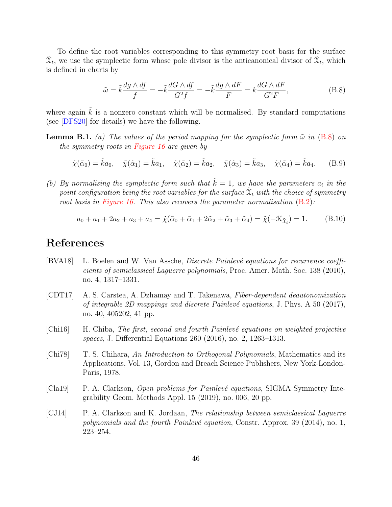To define the root variables corresponding to this symmetry root basis for the surface  $\tilde{\mathfrak{X}}_t$ , we use the symplectic form whose pole divisor is the anticanonical divisor of  $\tilde{\mathfrak{X}}_t$ , which is defined in charts by

<span id="page-45-6"></span>
$$
\tilde{\omega} = \tilde{k} \frac{dg \wedge df}{f} = -\tilde{k} \frac{dG \wedge df}{G^2 f} = -\tilde{k} \frac{dg \wedge dF}{F} = k \frac{dG \wedge dF}{G^2 F},
$$
\n(B.8)

where again  $k$  is a nonzero constant which will be normalised. By standard computations (see [\[DFS20\]](#page-46-2) for details) we have the following.

**Lemma B.1.** (a) The values of the period mapping for the symplectic form  $\tilde{\omega}$  in [\(B.8\)](#page-45-6) on the symmetry roots in [Figure 16](#page-44-2) are given by

$$
\tilde{\chi}(\tilde{\alpha}_0) = \tilde{k}a_0, \quad \tilde{\chi}(\tilde{\alpha}_1) = \tilde{k}a_1, \quad \tilde{\chi}(\tilde{\alpha}_2) = \tilde{k}a_2, \quad \tilde{\chi}(\tilde{\alpha}_3) = \tilde{k}a_3, \quad \tilde{\chi}(\tilde{\alpha}_4) = \tilde{k}a_4. \quad (B.9)
$$

(b) By normalising the symplectic form such that  $\tilde{k} = 1$ , we have the parameters  $a_i$  in the point configuration being the root variables for the surface  $\tilde{\chi}_t$  with the choice of symmetry root basis in [Figure 16.](#page-44-2) This also recovers the parameter normalisation  $(B.2)$ :

$$
a_0 + a_1 + 2a_2 + a_3 + a_4 = \tilde{\chi}(\tilde{\alpha}_0 + \tilde{\alpha}_1 + 2\tilde{\alpha}_2 + \tilde{\alpha}_3 + \tilde{\alpha}_4) = \tilde{\chi}(-\mathcal{K}_{\tilde{\chi}_t}) = 1.
$$
 (B.10)

# References

- <span id="page-45-4"></span>[BVA18] L. Boelen and W. Van Assche, *Discrete Painlevé equations for recurrence coeffi*cients of semiclassical Laguerre polynomials, Proc. Amer. Math. Soc. 138 (2010), no. 4, 1317–1331.
- <span id="page-45-1"></span>[CDT17] A. S. Carstea, A. Dzhamay and T. Takenawa, Fiber-dependent deautonomization of integrable 2D mappings and discrete Painlevé equations, J. Phys. A 50 (2017), no. 40, 405202, 41 pp.
- <span id="page-45-3"></span>[Chi16] H. Chiba, The first, second and fourth Painlevé equations on weighted projective spaces, J. Differential Equations 260 (2016), no. 2, 1263–1313.
- <span id="page-45-0"></span>[Chi78] T. S. Chihara, An Introduction to Orthogonal Polynomials, Mathematics and its Applications, Vol. 13, Gordon and Breach Science Publishers, New York-London-Paris, 1978.
- <span id="page-45-2"></span>[Cla19] P. A. Clarkson, *Open problems for Painlevé equations*, SIGMA Symmetry Integrability Geom. Methods Appl. 15 (2019), no. 006, 20 pp.
- <span id="page-45-5"></span>[CJ14] P. A. Clarkson and K. Jordaan, The relationship between semiclassical Laguerre polynomials and the fourth Painlevé equation, Constr. Approx. 39 (2014), no. 1, 223–254.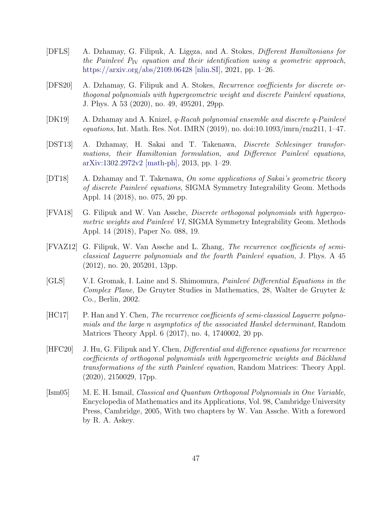- <span id="page-46-10"></span>[DFLS] A. Dzhamay, G. Filipuk, A. Ligęza, and A. Stokes, *Different Hamiltonians for* the Painlevé  $P_{\text{IV}}$  equation and their identification using a geometric approach, [https://arxiv.org/abs/2109.06428 \[nlin.SI\],](https://arxiv.org/abs/2109.06428) 2021, pp. 1–26.
- <span id="page-46-2"></span>[DFS20] A. Dzhamay, G. Filipuk and A. Stokes, Recurrence coefficients for discrete or $thogonal polynomials with hypergeometric weight and discrete Painlevé equations,$ J. Phys. A 53 (2020), no. 49, 495201, 29pp.
- <span id="page-46-4"></span>[DK19] A. Dzhamay and A. Knizel,  $q$ -Racah polynomial ensemble and discrete  $q$ -Painlevé equations, Int. Math. Res. Not. IMRN (2019), no. doi:10.1093/imrn/rnz211, 1–47.
- <span id="page-46-5"></span>[DST13] A. Dzhamay, H. Sakai and T. Takenawa, Discrete Schlesinger transformations, their Hamiltonian formulation, and Difference Painlevé equations, [arXiv:1302.2972v2 \[math-ph\],](http://arxiv.org/abs/1302.2972) 2013, pp. 1–29.
- <span id="page-46-6"></span>[DT18] A. Dzhamay and T. Takenawa, On some applications of Sakai's geometric theory of discrete Painlevé equations, SIGMA Symmetry Integrability Geom. Methods Appl. 14 (2018), no. 075, 20 pp.
- <span id="page-46-1"></span>[FVA18] G. Filipuk and W. Van Assche, Discrete orthogonal polynomials with hypergeometric weights and Painlevé VI, SIGMA Symmetry Integrability Geom. Methods Appl. 14 (2018), Paper No. 088, 19.
- <span id="page-46-9"></span>[FVAZ12] G. Filipuk, W. Van Assche and L. Zhang, The recurrence coefficients of semiclassical Laguerre polynomials and the fourth Painlevé equation, J. Phys. A  $45$ (2012), no. 20, 205201, 13pp.
- <span id="page-46-8"></span>[GLS] V.I. Gromak, I. Laine and S. Shimomura, *Painlevé Differential Equations in the* Complex Plane, De Gruyter Studies in Mathematics, 28, Walter de Gruyter & Co., Berlin, 2002.
- <span id="page-46-0"></span>[HC17] P. Han and Y. Chen, The recurrence coefficients of semi-classical Laguerre polynomials and the large n asymptotics of the associated Hankel determinant, Random Matrices Theory Appl. 6 (2017), no. 4, 1740002, 20 pp.
- <span id="page-46-7"></span>[HFC20] J. Hu, G. Filipuk and Y. Chen, Differential and difference equations for recurrence coefficients of orthogonal polynomials with hypergeometric weights and Bäcklund transformations of the sixth Painlevé equation, Random Matrices: Theory Appl. (2020), 2150029, 17pp.
- <span id="page-46-3"></span>[Ism05] M. E. H. Ismail, Classical and Quantum Orthogonal Polynomials in One Variable, Encyclopedia of Mathematics and its Applications, Vol. 98, Cambridge University Press, Cambridge, 2005, With two chapters by W. Van Assche. With a foreword by R. A. Askey.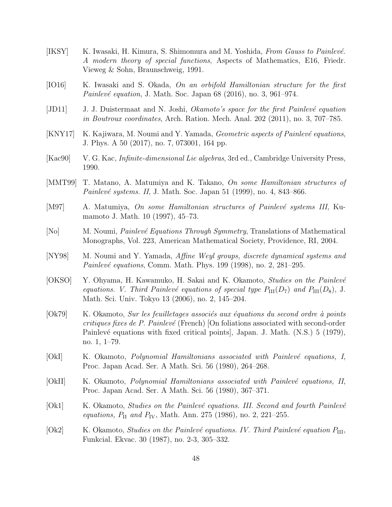- <span id="page-47-3"></span>[IKSY] K. Iwasaki, H. Kimura, S. Shimomura and M. Yoshida, From Gauss to Painlevé. A modern theory of special functions, Aspects of Mathematics, E16, Friedr. Vieweg & Sohn, Braunschweig, 1991.
- <span id="page-47-13"></span>[IO16] K. Iwasaki and S. Okada, On an orbifold Hamiltonian structure for the first *Painlevé equation*, J. Math. Soc. Japan 68 (2016), no. 3, 961–974.
- <span id="page-47-2"></span>[JD11] J. J. Duistermaat and N. Joshi, *Okamoto's space for the first Painlevé equation* in Boutroux coordinates, Arch. Ration. Mech. Anal. 202 (2011), no. 3, 707–785.
- <span id="page-47-0"></span>[KNY17] K. Kajiwara, M. Noumi and Y. Yamada, *Geometric aspects of Painlevé equations*, J. Phys. A 50 (2017), no. 7, 073001, 164 pp.
- <span id="page-47-14"></span>[Kac90] V. G. Kac, *Infinite-dimensional Lie algebras*, 3rd ed., Cambridge University Press, 1990.
- <span id="page-47-11"></span>[MMT99] T. Matano, A. Matumiya and K. Takano, On some Hamiltonian structures of Painlevé systems. II, J. Math. Soc. Japan 51 (1999), no. 4, 843–866.
- <span id="page-47-12"></span>[M97] A. Matumiya, *On some Hamiltonian structures of Painlevé systems III*, Kumamoto J. Math. 10 (1997), 45–73.
- <span id="page-47-4"></span>[No] M. Noumi, *Painlevé Equations Through Symmetry*, Translations of Mathematical Monographs, Vol. 223, American Mathematical Society, Providence, RI, 2004.
- <span id="page-47-5"></span>[NY98] M. Noumi and Y. Yamada, Affine Weyl groups, discrete dynamical systems and *Painlevé equations, Comm. Math. Phys.* 199 (1998), no. 2, 281–295.
- <span id="page-47-10"></span>[OKSO] Y. Ohyama, H. Kawamuko, H. Sakai and K. Okamoto, *Studies on the Painlevé* equations. V. Third Painlevé equations of special type  $P_{\text{III}}(D_7)$  and  $P_{\text{III}}(D_8)$ , J. Math. Sci. Univ. Tokyo 13 (2006), no. 2, 145–204.
- <span id="page-47-1"></span> $[Ok79]$  K. Okamoto, *Sur les feuilletages associés aux équations du second ordre à points* critiques fixes de P. Painlevé (French) [On foliations associated with second-order Painlevé equations with fixed critical points, Japan. J. Math. (N.S.) 5 (1979), no. 1, 1–79.
- <span id="page-47-6"></span>[OkI] K. Okamoto, *Polynomial Hamiltonians associated with Painlevé equations, I,* Proc. Japan Acad. Ser. A Math. Sci. 56 (1980), 264–268.
- <span id="page-47-7"></span>[OkII] K. Okamoto, *Polynomial Hamiltonians associated with Painlevé equations, II,* Proc. Japan Acad. Ser. A Math. Sci. 56 (1980), 367–371.
- <span id="page-47-8"></span>[Ok1] K. Okamoto, *Studies on the Painlevé equations. III. Second and fourth Painlevé* equations,  $P_{II}$  and  $P_{IV}$ , Math. Ann. 275 (1986), no. 2, 221-255.
- <span id="page-47-9"></span>[Ok2] K. Okamoto, *Studies on the Painlevé equations. IV. Third Painlevé equation P*<sub>III</sub>, Funkcial. Ekvac. 30 (1987), no. 2-3, 305–332.